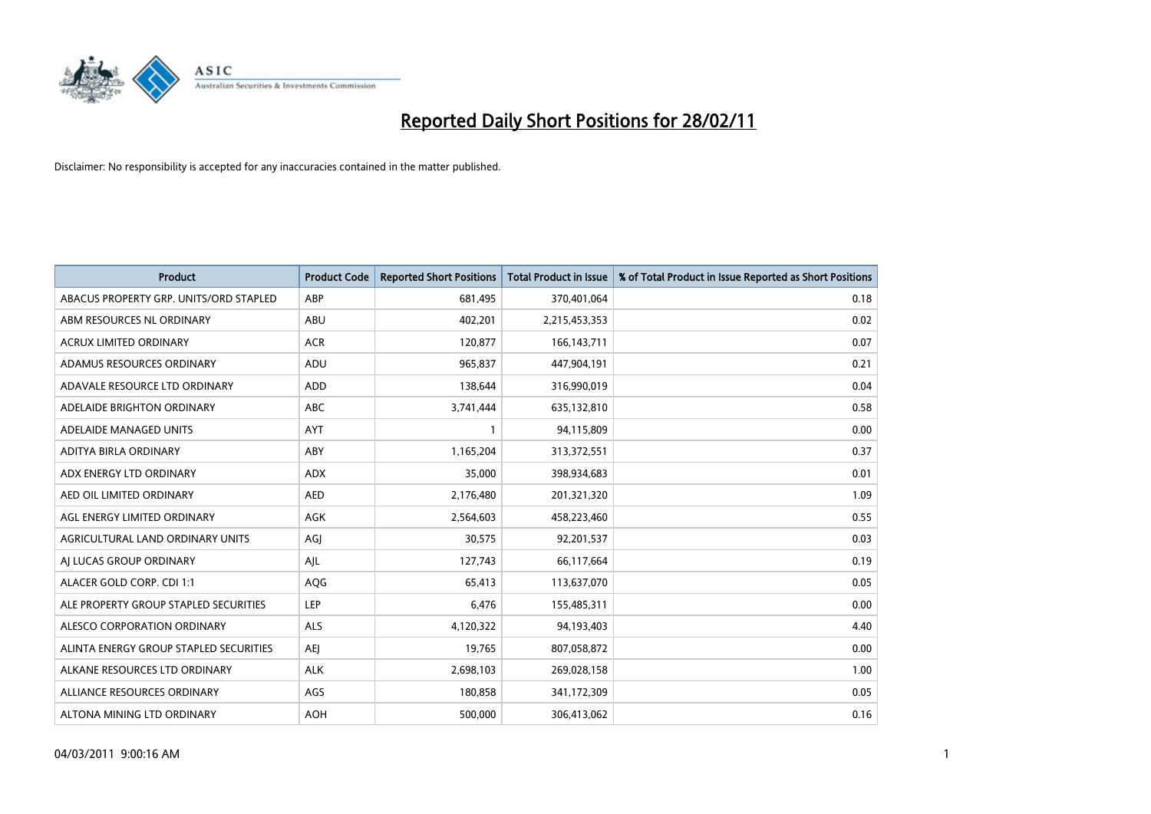

| <b>Product</b>                         | <b>Product Code</b> | <b>Reported Short Positions</b> | <b>Total Product in Issue</b> | % of Total Product in Issue Reported as Short Positions |
|----------------------------------------|---------------------|---------------------------------|-------------------------------|---------------------------------------------------------|
| ABACUS PROPERTY GRP. UNITS/ORD STAPLED | ABP                 | 681,495                         | 370,401,064                   | 0.18                                                    |
| ABM RESOURCES NL ORDINARY              | ABU                 | 402,201                         | 2,215,453,353                 | 0.02                                                    |
| <b>ACRUX LIMITED ORDINARY</b>          | <b>ACR</b>          | 120,877                         | 166, 143, 711                 | 0.07                                                    |
| ADAMUS RESOURCES ORDINARY              | ADU                 | 965,837                         | 447,904,191                   | 0.21                                                    |
| ADAVALE RESOURCE LTD ORDINARY          | <b>ADD</b>          | 138,644                         | 316,990,019                   | 0.04                                                    |
| ADELAIDE BRIGHTON ORDINARY             | <b>ABC</b>          | 3,741,444                       | 635,132,810                   | 0.58                                                    |
| ADELAIDE MANAGED UNITS                 | <b>AYT</b>          |                                 | 94,115,809                    | 0.00                                                    |
| ADITYA BIRLA ORDINARY                  | ABY                 | 1,165,204                       | 313,372,551                   | 0.37                                                    |
| ADX ENERGY LTD ORDINARY                | <b>ADX</b>          | 35,000                          | 398,934,683                   | 0.01                                                    |
| AED OIL LIMITED ORDINARY               | <b>AED</b>          | 2,176,480                       | 201,321,320                   | 1.09                                                    |
| AGL ENERGY LIMITED ORDINARY            | AGK                 | 2,564,603                       | 458,223,460                   | 0.55                                                    |
| AGRICULTURAL LAND ORDINARY UNITS       | AGJ                 | 30,575                          | 92,201,537                    | 0.03                                                    |
| AI LUCAS GROUP ORDINARY                | AJL                 | 127,743                         | 66,117,664                    | 0.19                                                    |
| ALACER GOLD CORP. CDI 1:1              | AQG                 | 65,413                          | 113,637,070                   | 0.05                                                    |
| ALE PROPERTY GROUP STAPLED SECURITIES  | LEP                 | 6,476                           | 155,485,311                   | 0.00                                                    |
| ALESCO CORPORATION ORDINARY            | ALS                 | 4,120,322                       | 94,193,403                    | 4.40                                                    |
| ALINTA ENERGY GROUP STAPLED SECURITIES | AEI                 | 19,765                          | 807,058,872                   | 0.00                                                    |
| ALKANE RESOURCES LTD ORDINARY          | <b>ALK</b>          | 2,698,103                       | 269,028,158                   | 1.00                                                    |
| ALLIANCE RESOURCES ORDINARY            | AGS                 | 180,858                         | 341,172,309                   | 0.05                                                    |
| ALTONA MINING LTD ORDINARY             | <b>AOH</b>          | 500,000                         | 306,413,062                   | 0.16                                                    |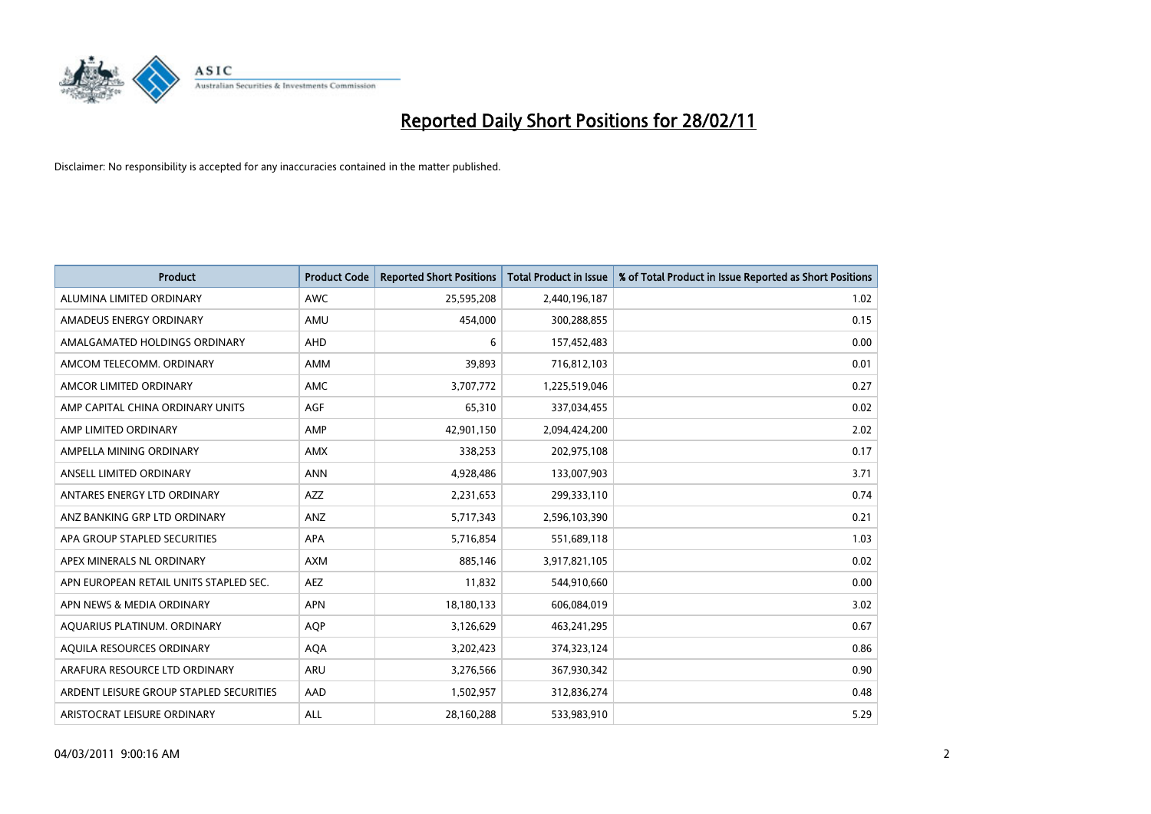

| Product                                 | <b>Product Code</b> | <b>Reported Short Positions</b> | <b>Total Product in Issue</b> | % of Total Product in Issue Reported as Short Positions |
|-----------------------------------------|---------------------|---------------------------------|-------------------------------|---------------------------------------------------------|
| ALUMINA LIMITED ORDINARY                | <b>AWC</b>          | 25,595,208                      | 2,440,196,187                 | 1.02                                                    |
| AMADEUS ENERGY ORDINARY                 | AMU                 | 454.000                         | 300,288,855                   | 0.15                                                    |
| AMALGAMATED HOLDINGS ORDINARY           | <b>AHD</b>          | 6                               | 157,452,483                   | 0.00                                                    |
| AMCOM TELECOMM. ORDINARY                | <b>AMM</b>          | 39,893                          | 716,812,103                   | 0.01                                                    |
| AMCOR LIMITED ORDINARY                  | <b>AMC</b>          | 3,707,772                       | 1,225,519,046                 | 0.27                                                    |
| AMP CAPITAL CHINA ORDINARY UNITS        | <b>AGF</b>          | 65,310                          | 337,034,455                   | 0.02                                                    |
| AMP LIMITED ORDINARY                    | AMP                 | 42,901,150                      | 2,094,424,200                 | 2.02                                                    |
| AMPELLA MINING ORDINARY                 | <b>AMX</b>          | 338,253                         | 202,975,108                   | 0.17                                                    |
| ANSELL LIMITED ORDINARY                 | <b>ANN</b>          | 4,928,486                       | 133,007,903                   | 3.71                                                    |
| ANTARES ENERGY LTD ORDINARY             | <b>AZZ</b>          | 2,231,653                       | 299,333,110                   | 0.74                                                    |
| ANZ BANKING GRP LTD ORDINARY            | ANZ                 | 5,717,343                       | 2,596,103,390                 | 0.21                                                    |
| APA GROUP STAPLED SECURITIES            | APA                 | 5,716,854                       | 551,689,118                   | 1.03                                                    |
| APEX MINERALS NL ORDINARY               | <b>AXM</b>          | 885,146                         | 3,917,821,105                 | 0.02                                                    |
| APN EUROPEAN RETAIL UNITS STAPLED SEC.  | <b>AEZ</b>          | 11,832                          | 544,910,660                   | 0.00                                                    |
| APN NEWS & MEDIA ORDINARY               | <b>APN</b>          | 18,180,133                      | 606,084,019                   | 3.02                                                    |
| AQUARIUS PLATINUM. ORDINARY             | <b>AOP</b>          | 3,126,629                       | 463,241,295                   | 0.67                                                    |
| AQUILA RESOURCES ORDINARY               | <b>AQA</b>          | 3,202,423                       | 374,323,124                   | 0.86                                                    |
| ARAFURA RESOURCE LTD ORDINARY           | <b>ARU</b>          | 3,276,566                       | 367,930,342                   | 0.90                                                    |
| ARDENT LEISURE GROUP STAPLED SECURITIES | AAD                 | 1,502,957                       | 312,836,274                   | 0.48                                                    |
| ARISTOCRAT LEISURE ORDINARY             | ALL                 | 28,160,288                      | 533,983,910                   | 5.29                                                    |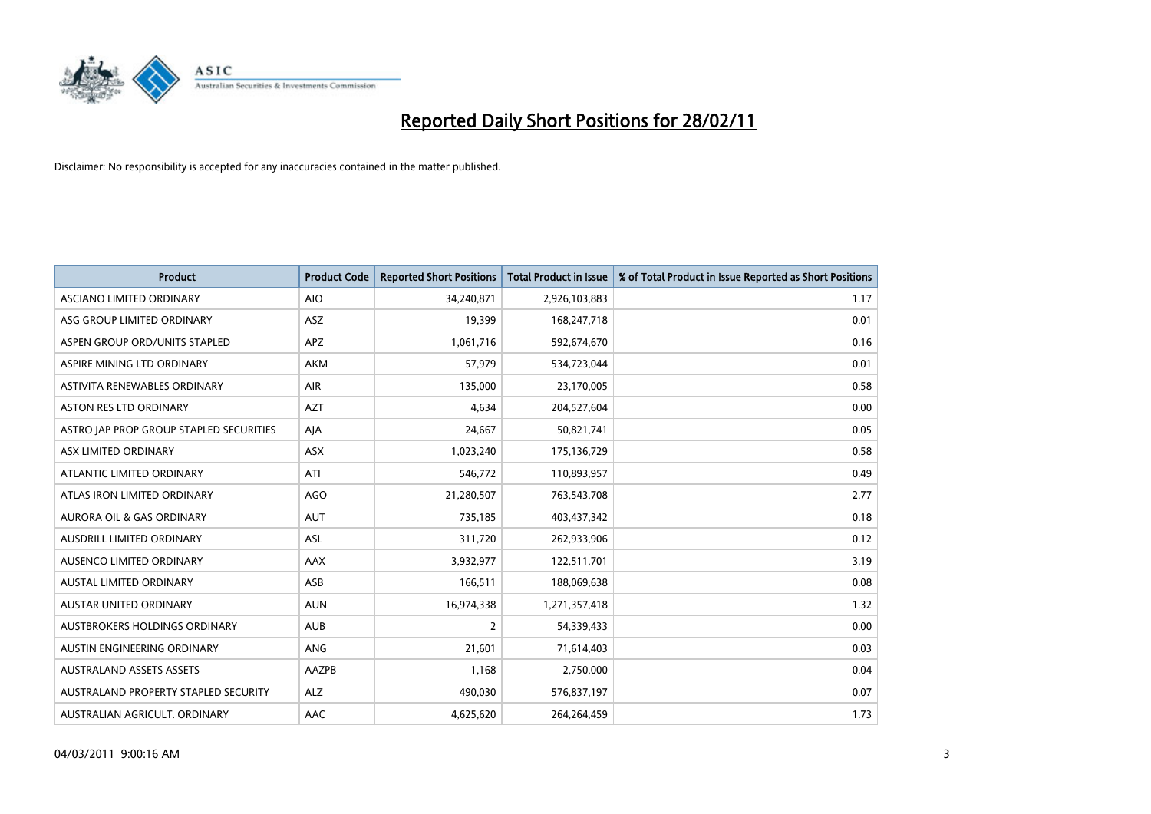

| Product                                 | <b>Product Code</b> | <b>Reported Short Positions</b> | <b>Total Product in Issue</b> | % of Total Product in Issue Reported as Short Positions |
|-----------------------------------------|---------------------|---------------------------------|-------------------------------|---------------------------------------------------------|
| ASCIANO LIMITED ORDINARY                | <b>AIO</b>          | 34,240,871                      | 2,926,103,883                 | 1.17                                                    |
| ASG GROUP LIMITED ORDINARY              | ASZ                 | 19,399                          | 168,247,718                   | 0.01                                                    |
| ASPEN GROUP ORD/UNITS STAPLED           | <b>APZ</b>          | 1,061,716                       | 592,674,670                   | 0.16                                                    |
| ASPIRE MINING LTD ORDINARY              | <b>AKM</b>          | 57,979                          | 534,723,044                   | 0.01                                                    |
| ASTIVITA RENEWABLES ORDINARY            | AIR                 | 135,000                         | 23,170,005                    | 0.58                                                    |
| <b>ASTON RES LTD ORDINARY</b>           | <b>AZT</b>          | 4,634                           | 204,527,604                   | 0.00                                                    |
| ASTRO JAP PROP GROUP STAPLED SECURITIES | AJA                 | 24,667                          | 50,821,741                    | 0.05                                                    |
| ASX LIMITED ORDINARY                    | ASX                 | 1,023,240                       | 175,136,729                   | 0.58                                                    |
| ATLANTIC LIMITED ORDINARY               | ATI                 | 546,772                         | 110,893,957                   | 0.49                                                    |
| ATLAS IRON LIMITED ORDINARY             | <b>AGO</b>          | 21,280,507                      | 763,543,708                   | 2.77                                                    |
| AURORA OIL & GAS ORDINARY               | <b>AUT</b>          | 735,185                         | 403,437,342                   | 0.18                                                    |
| AUSDRILL LIMITED ORDINARY               | ASL                 | 311,720                         | 262,933,906                   | 0.12                                                    |
| AUSENCO LIMITED ORDINARY                | AAX                 | 3,932,977                       | 122,511,701                   | 3.19                                                    |
| <b>AUSTAL LIMITED ORDINARY</b>          | ASB                 | 166,511                         | 188,069,638                   | 0.08                                                    |
| <b>AUSTAR UNITED ORDINARY</b>           | <b>AUN</b>          | 16,974,338                      | 1,271,357,418                 | 1.32                                                    |
| AUSTBROKERS HOLDINGS ORDINARY           | <b>AUB</b>          | 2                               | 54,339,433                    | 0.00                                                    |
| AUSTIN ENGINEERING ORDINARY             | ANG                 | 21,601                          | 71,614,403                    | 0.03                                                    |
| <b>AUSTRALAND ASSETS ASSETS</b>         | AAZPB               | 1,168                           | 2,750,000                     | 0.04                                                    |
| AUSTRALAND PROPERTY STAPLED SECURITY    | <b>ALZ</b>          | 490,030                         | 576,837,197                   | 0.07                                                    |
| AUSTRALIAN AGRICULT. ORDINARY           | AAC                 | 4,625,620                       | 264,264,459                   | 1.73                                                    |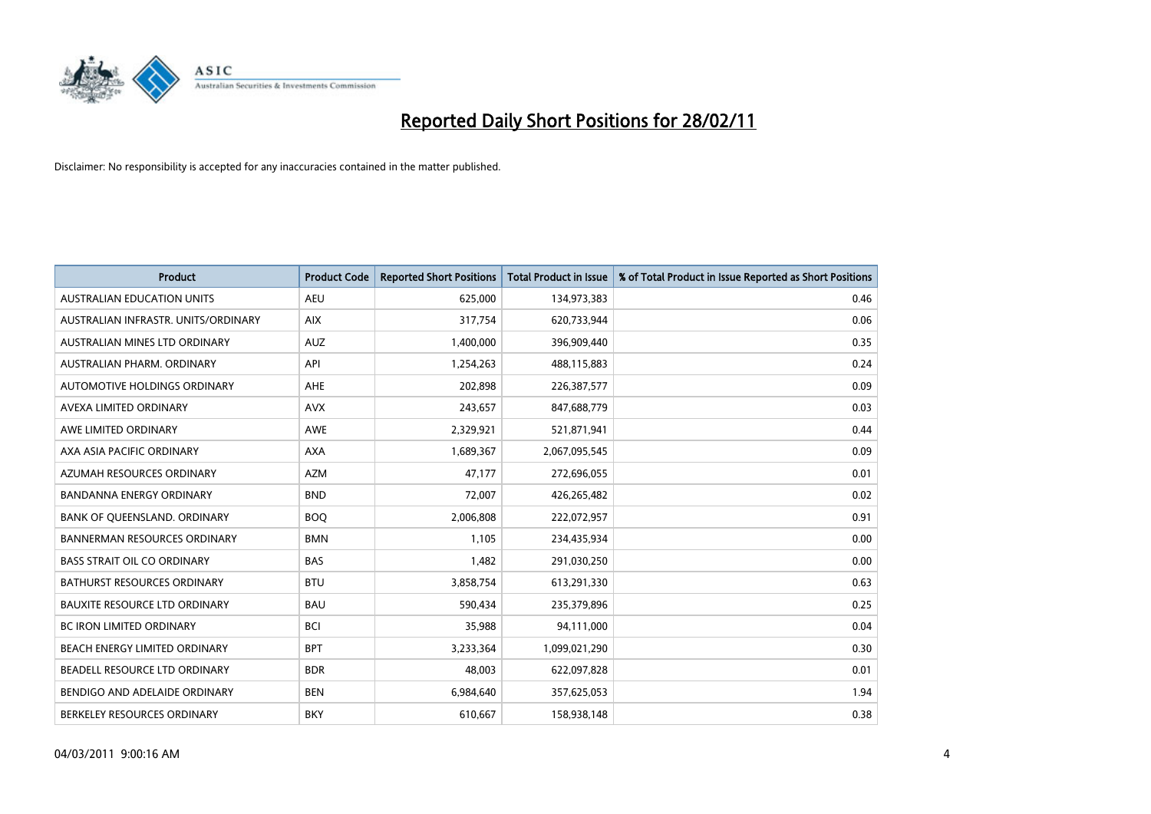

| <b>Product</b>                       | <b>Product Code</b> | <b>Reported Short Positions</b> | <b>Total Product in Issue</b> | % of Total Product in Issue Reported as Short Positions |
|--------------------------------------|---------------------|---------------------------------|-------------------------------|---------------------------------------------------------|
| <b>AUSTRALIAN EDUCATION UNITS</b>    | <b>AEU</b>          | 625,000                         | 134,973,383                   | 0.46                                                    |
| AUSTRALIAN INFRASTR. UNITS/ORDINARY  | <b>AIX</b>          | 317,754                         | 620,733,944                   | 0.06                                                    |
| AUSTRALIAN MINES LTD ORDINARY        | <b>AUZ</b>          | 1,400,000                       | 396,909,440                   | 0.35                                                    |
| AUSTRALIAN PHARM. ORDINARY           | API                 | 1,254,263                       | 488,115,883                   | 0.24                                                    |
| AUTOMOTIVE HOLDINGS ORDINARY         | <b>AHE</b>          | 202,898                         | 226,387,577                   | 0.09                                                    |
| AVEXA LIMITED ORDINARY               | <b>AVX</b>          | 243,657                         | 847,688,779                   | 0.03                                                    |
| AWE LIMITED ORDINARY                 | <b>AWE</b>          | 2,329,921                       | 521,871,941                   | 0.44                                                    |
| AXA ASIA PACIFIC ORDINARY            | <b>AXA</b>          | 1,689,367                       | 2,067,095,545                 | 0.09                                                    |
| AZUMAH RESOURCES ORDINARY            | <b>AZM</b>          | 47,177                          | 272,696,055                   | 0.01                                                    |
| <b>BANDANNA ENERGY ORDINARY</b>      | <b>BND</b>          | 72,007                          | 426,265,482                   | 0.02                                                    |
| BANK OF QUEENSLAND. ORDINARY         | <b>BOQ</b>          | 2,006,808                       | 222,072,957                   | 0.91                                                    |
| <b>BANNERMAN RESOURCES ORDINARY</b>  | <b>BMN</b>          | 1,105                           | 234,435,934                   | 0.00                                                    |
| <b>BASS STRAIT OIL CO ORDINARY</b>   | <b>BAS</b>          | 1,482                           | 291,030,250                   | 0.00                                                    |
| BATHURST RESOURCES ORDINARY          | <b>BTU</b>          | 3,858,754                       | 613,291,330                   | 0.63                                                    |
| <b>BAUXITE RESOURCE LTD ORDINARY</b> | <b>BAU</b>          | 590,434                         | 235,379,896                   | 0.25                                                    |
| BC IRON LIMITED ORDINARY             | <b>BCI</b>          | 35,988                          | 94,111,000                    | 0.04                                                    |
| BEACH ENERGY LIMITED ORDINARY        | <b>BPT</b>          | 3,233,364                       | 1,099,021,290                 | 0.30                                                    |
| BEADELL RESOURCE LTD ORDINARY        | <b>BDR</b>          | 48,003                          | 622,097,828                   | 0.01                                                    |
| BENDIGO AND ADELAIDE ORDINARY        | <b>BEN</b>          | 6,984,640                       | 357,625,053                   | 1.94                                                    |
| BERKELEY RESOURCES ORDINARY          | <b>BKY</b>          | 610,667                         | 158,938,148                   | 0.38                                                    |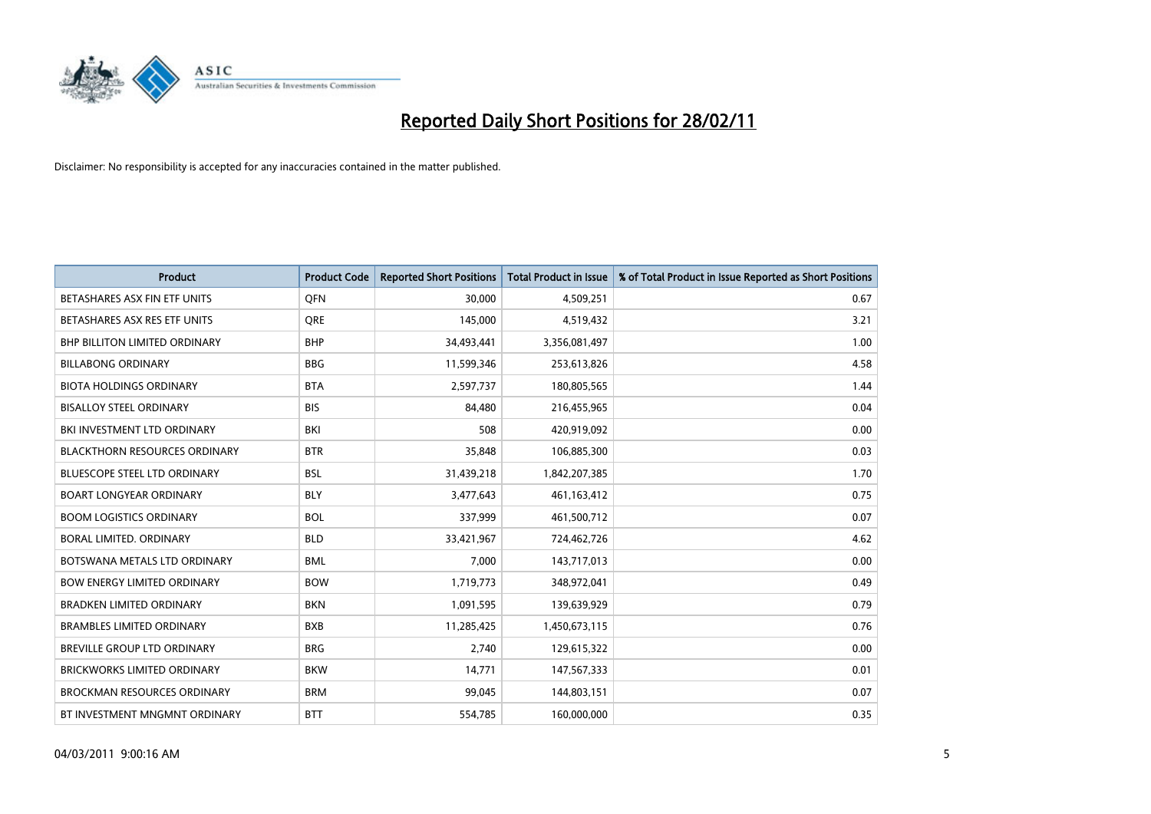

| <b>Product</b>                       | <b>Product Code</b> | <b>Reported Short Positions</b> | <b>Total Product in Issue</b> | % of Total Product in Issue Reported as Short Positions |
|--------------------------------------|---------------------|---------------------------------|-------------------------------|---------------------------------------------------------|
| BETASHARES ASX FIN ETF UNITS         | <b>OFN</b>          | 30,000                          | 4,509,251                     | 0.67                                                    |
| BETASHARES ASX RES ETF UNITS         | <b>ORE</b>          | 145,000                         | 4,519,432                     | 3.21                                                    |
| <b>BHP BILLITON LIMITED ORDINARY</b> | <b>BHP</b>          | 34,493,441                      | 3,356,081,497                 | 1.00                                                    |
| <b>BILLABONG ORDINARY</b>            | <b>BBG</b>          | 11,599,346                      | 253,613,826                   | 4.58                                                    |
| <b>BIOTA HOLDINGS ORDINARY</b>       | <b>BTA</b>          | 2,597,737                       | 180,805,565                   | 1.44                                                    |
| <b>BISALLOY STEEL ORDINARY</b>       | <b>BIS</b>          | 84,480                          | 216,455,965                   | 0.04                                                    |
| BKI INVESTMENT LTD ORDINARY          | <b>BKI</b>          | 508                             | 420,919,092                   | 0.00                                                    |
| <b>BLACKTHORN RESOURCES ORDINARY</b> | <b>BTR</b>          | 35,848                          | 106,885,300                   | 0.03                                                    |
| <b>BLUESCOPE STEEL LTD ORDINARY</b>  | <b>BSL</b>          | 31,439,218                      | 1,842,207,385                 | 1.70                                                    |
| <b>BOART LONGYEAR ORDINARY</b>       | <b>BLY</b>          | 3,477,643                       | 461, 163, 412                 | 0.75                                                    |
| <b>BOOM LOGISTICS ORDINARY</b>       | <b>BOL</b>          | 337,999                         | 461,500,712                   | 0.07                                                    |
| BORAL LIMITED, ORDINARY              | <b>BLD</b>          | 33,421,967                      | 724,462,726                   | 4.62                                                    |
| BOTSWANA METALS LTD ORDINARY         | <b>BML</b>          | 7,000                           | 143,717,013                   | 0.00                                                    |
| <b>BOW ENERGY LIMITED ORDINARY</b>   | <b>BOW</b>          | 1,719,773                       | 348,972,041                   | 0.49                                                    |
| <b>BRADKEN LIMITED ORDINARY</b>      | <b>BKN</b>          | 1,091,595                       | 139,639,929                   | 0.79                                                    |
| <b>BRAMBLES LIMITED ORDINARY</b>     | <b>BXB</b>          | 11,285,425                      | 1,450,673,115                 | 0.76                                                    |
| BREVILLE GROUP LTD ORDINARY          | <b>BRG</b>          | 2,740                           | 129,615,322                   | 0.00                                                    |
| <b>BRICKWORKS LIMITED ORDINARY</b>   | <b>BKW</b>          | 14,771                          | 147,567,333                   | 0.01                                                    |
| <b>BROCKMAN RESOURCES ORDINARY</b>   | <b>BRM</b>          | 99,045                          | 144,803,151                   | 0.07                                                    |
| BT INVESTMENT MNGMNT ORDINARY        | <b>BTT</b>          | 554,785                         | 160,000,000                   | 0.35                                                    |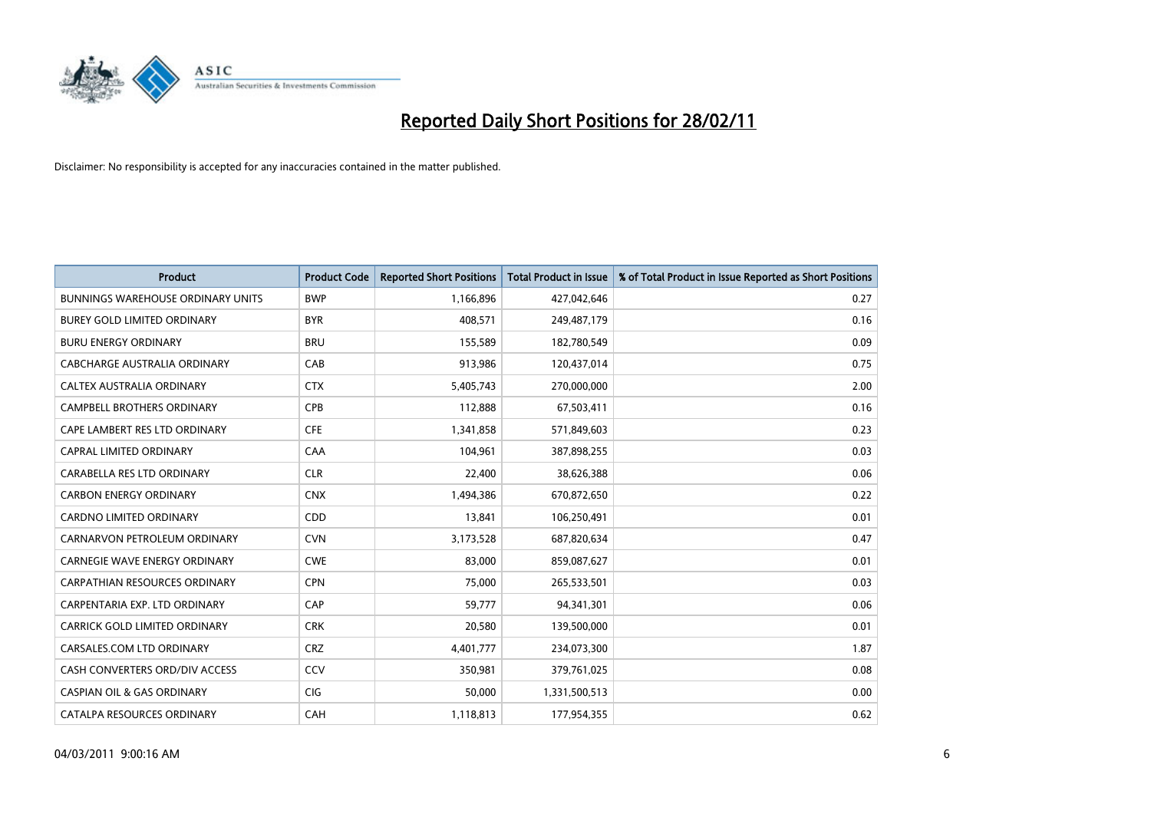

| Product                                  | <b>Product Code</b> | <b>Reported Short Positions</b> | <b>Total Product in Issue</b> | % of Total Product in Issue Reported as Short Positions |
|------------------------------------------|---------------------|---------------------------------|-------------------------------|---------------------------------------------------------|
| <b>BUNNINGS WAREHOUSE ORDINARY UNITS</b> | <b>BWP</b>          | 1,166,896                       | 427,042,646                   | 0.27                                                    |
| <b>BUREY GOLD LIMITED ORDINARY</b>       | <b>BYR</b>          | 408,571                         | 249,487,179                   | 0.16                                                    |
| <b>BURU ENERGY ORDINARY</b>              | <b>BRU</b>          | 155,589                         | 182,780,549                   | 0.09                                                    |
| CABCHARGE AUSTRALIA ORDINARY             | CAB                 | 913,986                         | 120,437,014                   | 0.75                                                    |
| CALTEX AUSTRALIA ORDINARY                | <b>CTX</b>          | 5,405,743                       | 270,000,000                   | 2.00                                                    |
| <b>CAMPBELL BROTHERS ORDINARY</b>        | <b>CPB</b>          | 112,888                         | 67,503,411                    | 0.16                                                    |
| CAPE LAMBERT RES LTD ORDINARY            | <b>CFE</b>          | 1,341,858                       | 571,849,603                   | 0.23                                                    |
| CAPRAL LIMITED ORDINARY                  | CAA                 | 104,961                         | 387,898,255                   | 0.03                                                    |
| CARABELLA RES LTD ORDINARY               | <b>CLR</b>          | 22,400                          | 38,626,388                    | 0.06                                                    |
| <b>CARBON ENERGY ORDINARY</b>            | <b>CNX</b>          | 1,494,386                       | 670,872,650                   | 0.22                                                    |
| <b>CARDNO LIMITED ORDINARY</b>           | CDD                 | 13,841                          | 106,250,491                   | 0.01                                                    |
| CARNARVON PETROLEUM ORDINARY             | <b>CVN</b>          | 3,173,528                       | 687,820,634                   | 0.47                                                    |
| <b>CARNEGIE WAVE ENERGY ORDINARY</b>     | <b>CWE</b>          | 83,000                          | 859,087,627                   | 0.01                                                    |
| <b>CARPATHIAN RESOURCES ORDINARY</b>     | <b>CPN</b>          | 75,000                          | 265,533,501                   | 0.03                                                    |
| CARPENTARIA EXP. LTD ORDINARY            | CAP                 | 59,777                          | 94,341,301                    | 0.06                                                    |
| CARRICK GOLD LIMITED ORDINARY            | <b>CRK</b>          | 20,580                          | 139,500,000                   | 0.01                                                    |
| CARSALES.COM LTD ORDINARY                | <b>CRZ</b>          | 4,401,777                       | 234,073,300                   | 1.87                                                    |
| CASH CONVERTERS ORD/DIV ACCESS           | CCV                 | 350,981                         | 379,761,025                   | 0.08                                                    |
| <b>CASPIAN OIL &amp; GAS ORDINARY</b>    | <b>CIG</b>          | 50,000                          | 1,331,500,513                 | 0.00                                                    |
| CATALPA RESOURCES ORDINARY               | CAH                 | 1,118,813                       | 177,954,355                   | 0.62                                                    |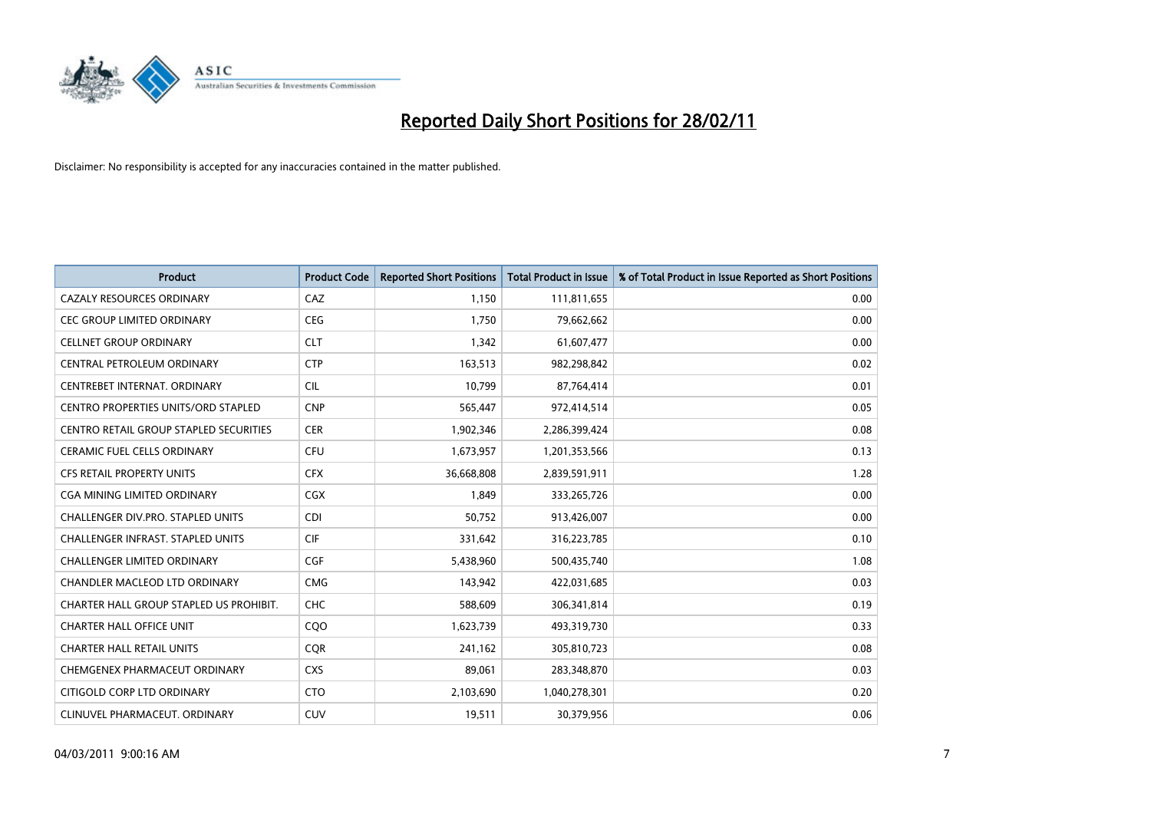

| <b>Product</b>                                | <b>Product Code</b> | <b>Reported Short Positions</b> | Total Product in Issue | % of Total Product in Issue Reported as Short Positions |
|-----------------------------------------------|---------------------|---------------------------------|------------------------|---------------------------------------------------------|
| <b>CAZALY RESOURCES ORDINARY</b>              | CAZ                 | 1,150                           | 111,811,655            | 0.00                                                    |
| <b>CEC GROUP LIMITED ORDINARY</b>             | <b>CEG</b>          | 1,750                           | 79,662,662             | 0.00                                                    |
| <b>CELLNET GROUP ORDINARY</b>                 | <b>CLT</b>          | 1,342                           | 61,607,477             | 0.00                                                    |
| CENTRAL PETROLEUM ORDINARY                    | <b>CTP</b>          | 163,513                         | 982,298,842            | 0.02                                                    |
| CENTREBET INTERNAT, ORDINARY                  | <b>CIL</b>          | 10.799                          | 87,764,414             | 0.01                                                    |
| <b>CENTRO PROPERTIES UNITS/ORD STAPLED</b>    | <b>CNP</b>          | 565,447                         | 972,414,514            | 0.05                                                    |
| <b>CENTRO RETAIL GROUP STAPLED SECURITIES</b> | <b>CER</b>          | 1,902,346                       | 2,286,399,424          | 0.08                                                    |
| <b>CERAMIC FUEL CELLS ORDINARY</b>            | <b>CFU</b>          | 1,673,957                       | 1,201,353,566          | 0.13                                                    |
| <b>CFS RETAIL PROPERTY UNITS</b>              | <b>CFX</b>          | 36,668,808                      | 2,839,591,911          | 1.28                                                    |
| CGA MINING LIMITED ORDINARY                   | <b>CGX</b>          | 1.849                           | 333,265,726            | 0.00                                                    |
| <b>CHALLENGER DIV.PRO. STAPLED UNITS</b>      | <b>CDI</b>          | 50,752                          | 913,426,007            | 0.00                                                    |
| <b>CHALLENGER INFRAST, STAPLED UNITS</b>      | <b>CIF</b>          | 331,642                         | 316,223,785            | 0.10                                                    |
| <b>CHALLENGER LIMITED ORDINARY</b>            | <b>CGF</b>          | 5,438,960                       | 500,435,740            | 1.08                                                    |
| <b>CHANDLER MACLEOD LTD ORDINARY</b>          | <b>CMG</b>          | 143.942                         | 422,031,685            | 0.03                                                    |
| CHARTER HALL GROUP STAPLED US PROHIBIT.       | <b>CHC</b>          | 588,609                         | 306,341,814            | 0.19                                                    |
| <b>CHARTER HALL OFFICE UNIT</b>               | COO                 | 1,623,739                       | 493,319,730            | 0.33                                                    |
| <b>CHARTER HALL RETAIL UNITS</b>              | <b>CQR</b>          | 241,162                         | 305,810,723            | 0.08                                                    |
| CHEMGENEX PHARMACEUT ORDINARY                 | <b>CXS</b>          | 89,061                          | 283,348,870            | 0.03                                                    |
| CITIGOLD CORP LTD ORDINARY                    | <b>CTO</b>          | 2,103,690                       | 1,040,278,301          | 0.20                                                    |
| CLINUVEL PHARMACEUT, ORDINARY                 | <b>CUV</b>          | 19,511                          | 30,379,956             | 0.06                                                    |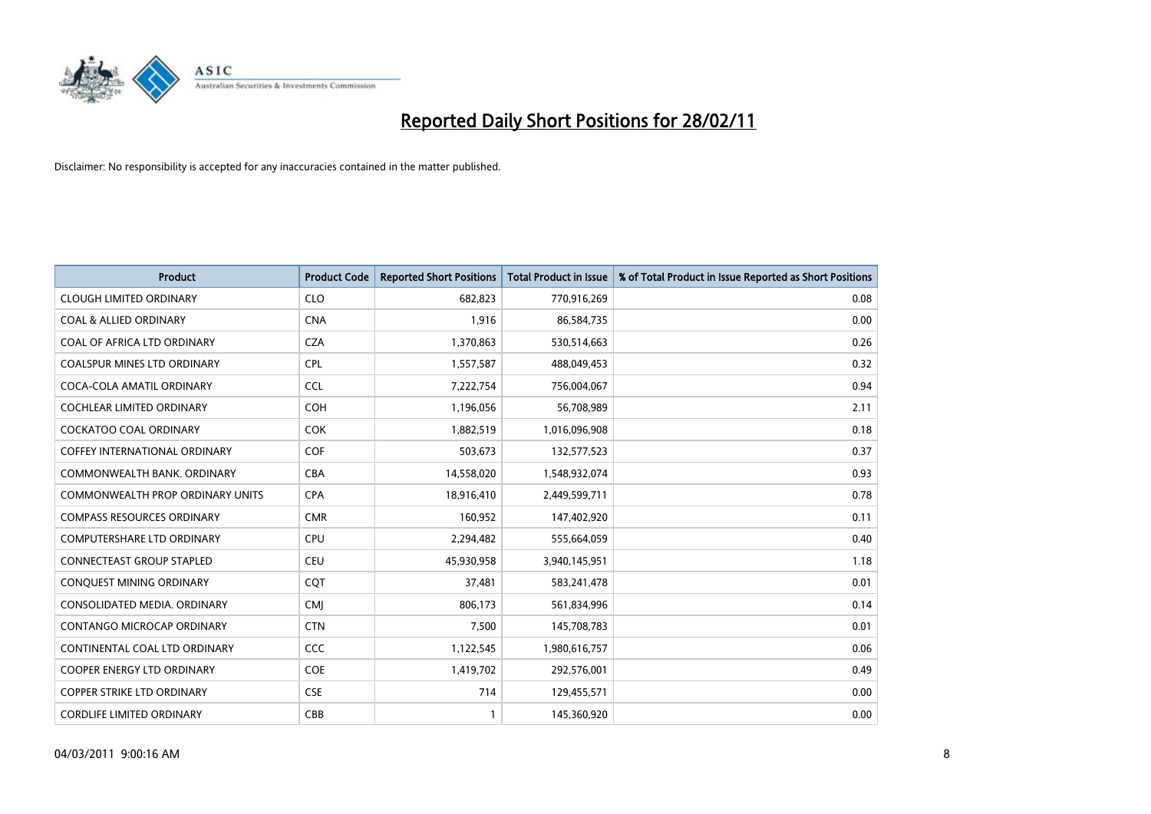

| <b>Product</b>                       | <b>Product Code</b> | <b>Reported Short Positions</b> | <b>Total Product in Issue</b> | % of Total Product in Issue Reported as Short Positions |
|--------------------------------------|---------------------|---------------------------------|-------------------------------|---------------------------------------------------------|
| <b>CLOUGH LIMITED ORDINARY</b>       | <b>CLO</b>          | 682,823                         | 770,916,269                   | 0.08                                                    |
| <b>COAL &amp; ALLIED ORDINARY</b>    | <b>CNA</b>          | 1,916                           | 86,584,735                    | 0.00                                                    |
| COAL OF AFRICA LTD ORDINARY          | <b>CZA</b>          | 1,370,863                       | 530,514,663                   | 0.26                                                    |
| COALSPUR MINES LTD ORDINARY          | <b>CPL</b>          | 1,557,587                       | 488,049,453                   | 0.32                                                    |
| COCA-COLA AMATIL ORDINARY            | <b>CCL</b>          | 7,222,754                       | 756,004,067                   | 0.94                                                    |
| <b>COCHLEAR LIMITED ORDINARY</b>     | <b>COH</b>          | 1,196,056                       | 56,708,989                    | 2.11                                                    |
| <b>COCKATOO COAL ORDINARY</b>        | <b>COK</b>          | 1,882,519                       | 1,016,096,908                 | 0.18                                                    |
| <b>COFFEY INTERNATIONAL ORDINARY</b> | <b>COF</b>          | 503,673                         | 132,577,523                   | 0.37                                                    |
| COMMONWEALTH BANK, ORDINARY          | <b>CBA</b>          | 14,558,020                      | 1,548,932,074                 | 0.93                                                    |
| COMMONWEALTH PROP ORDINARY UNITS     | <b>CPA</b>          | 18,916,410                      | 2,449,599,711                 | 0.78                                                    |
| <b>COMPASS RESOURCES ORDINARY</b>    | <b>CMR</b>          | 160,952                         | 147,402,920                   | 0.11                                                    |
| <b>COMPUTERSHARE LTD ORDINARY</b>    | <b>CPU</b>          | 2,294,482                       | 555,664,059                   | 0.40                                                    |
| CONNECTEAST GROUP STAPLED            | <b>CEU</b>          | 45,930,958                      | 3,940,145,951                 | 1.18                                                    |
| <b>CONQUEST MINING ORDINARY</b>      | <b>COT</b>          | 37,481                          | 583,241,478                   | 0.01                                                    |
| CONSOLIDATED MEDIA, ORDINARY         | <b>CMI</b>          | 806,173                         | 561,834,996                   | 0.14                                                    |
| CONTANGO MICROCAP ORDINARY           | <b>CTN</b>          | 7,500                           | 145,708,783                   | 0.01                                                    |
| CONTINENTAL COAL LTD ORDINARY        | <b>CCC</b>          | 1,122,545                       | 1,980,616,757                 | 0.06                                                    |
| COOPER ENERGY LTD ORDINARY           | <b>COE</b>          | 1,419,702                       | 292,576,001                   | 0.49                                                    |
| <b>COPPER STRIKE LTD ORDINARY</b>    | <b>CSE</b>          | 714                             | 129,455,571                   | 0.00                                                    |
| <b>CORDLIFE LIMITED ORDINARY</b>     | CBB                 |                                 | 145,360,920                   | 0.00                                                    |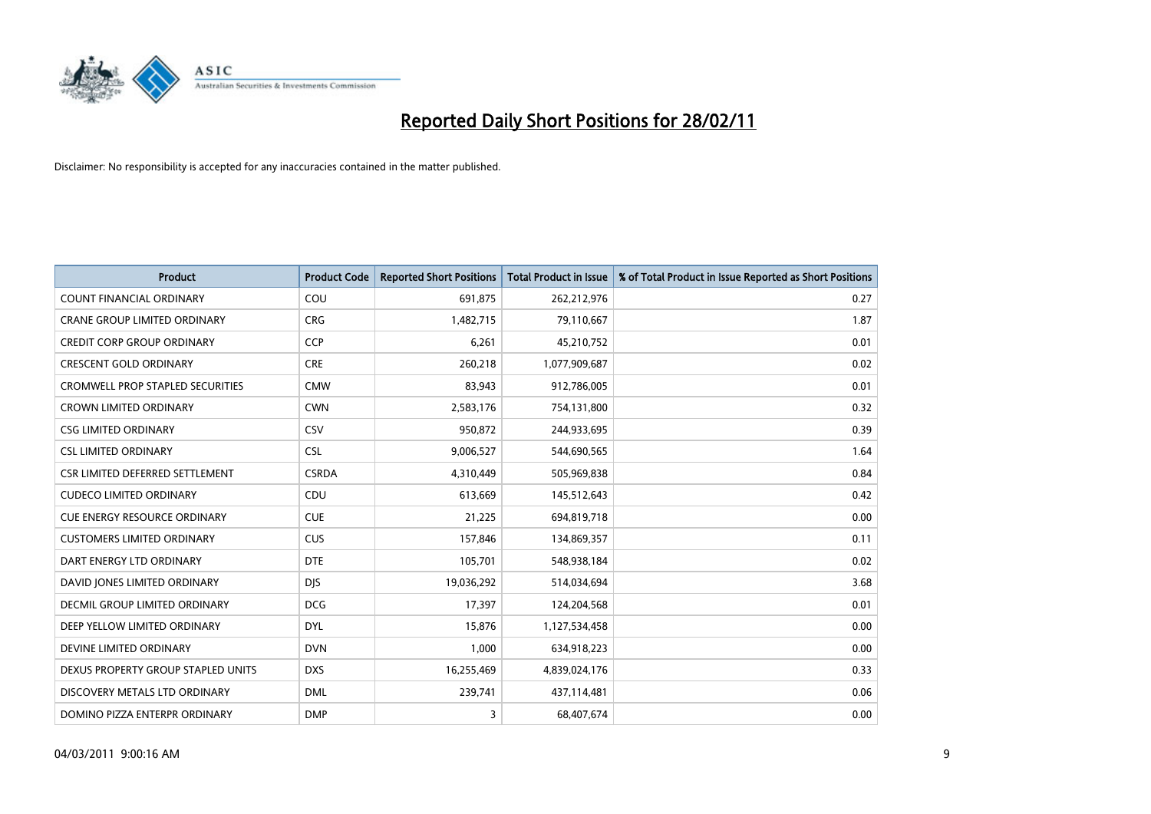

| Product                                 | <b>Product Code</b> | <b>Reported Short Positions</b> | Total Product in Issue | % of Total Product in Issue Reported as Short Positions |
|-----------------------------------------|---------------------|---------------------------------|------------------------|---------------------------------------------------------|
| <b>COUNT FINANCIAL ORDINARY</b>         | COU                 | 691,875                         | 262,212,976            | 0.27                                                    |
| CRANE GROUP LIMITED ORDINARY            | <b>CRG</b>          | 1,482,715                       | 79,110,667             | 1.87                                                    |
| <b>CREDIT CORP GROUP ORDINARY</b>       | <b>CCP</b>          | 6,261                           | 45,210,752             | 0.01                                                    |
| <b>CRESCENT GOLD ORDINARY</b>           | <b>CRE</b>          | 260,218                         | 1,077,909,687          | 0.02                                                    |
| <b>CROMWELL PROP STAPLED SECURITIES</b> | <b>CMW</b>          | 83,943                          | 912,786,005            | 0.01                                                    |
| <b>CROWN LIMITED ORDINARY</b>           | <b>CWN</b>          | 2,583,176                       | 754,131,800            | 0.32                                                    |
| <b>CSG LIMITED ORDINARY</b>             | CSV                 | 950,872                         | 244,933,695            | 0.39                                                    |
| <b>CSL LIMITED ORDINARY</b>             | <b>CSL</b>          | 9,006,527                       | 544,690,565            | 1.64                                                    |
| CSR LIMITED DEFERRED SETTLEMENT         | <b>CSRDA</b>        | 4,310,449                       | 505,969,838            | 0.84                                                    |
| <b>CUDECO LIMITED ORDINARY</b>          | CDU                 | 613,669                         | 145,512,643            | 0.42                                                    |
| <b>CUE ENERGY RESOURCE ORDINARY</b>     | <b>CUE</b>          | 21,225                          | 694,819,718            | 0.00                                                    |
| <b>CUSTOMERS LIMITED ORDINARY</b>       | <b>CUS</b>          | 157,846                         | 134,869,357            | 0.11                                                    |
| DART ENERGY LTD ORDINARY                | <b>DTE</b>          | 105,701                         | 548,938,184            | 0.02                                                    |
| DAVID JONES LIMITED ORDINARY            | <b>DJS</b>          | 19,036,292                      | 514,034,694            | 3.68                                                    |
| DECMIL GROUP LIMITED ORDINARY           | <b>DCG</b>          | 17,397                          | 124,204,568            | 0.01                                                    |
| DEEP YELLOW LIMITED ORDINARY            | <b>DYL</b>          | 15,876                          | 1,127,534,458          | 0.00                                                    |
| DEVINE LIMITED ORDINARY                 | <b>DVN</b>          | 1,000                           | 634,918,223            | 0.00                                                    |
| DEXUS PROPERTY GROUP STAPLED UNITS      | <b>DXS</b>          | 16,255,469                      | 4,839,024,176          | 0.33                                                    |
| DISCOVERY METALS LTD ORDINARY           | <b>DML</b>          | 239,741                         | 437,114,481            | 0.06                                                    |
| DOMINO PIZZA ENTERPR ORDINARY           | <b>DMP</b>          | 3                               | 68,407,674             | 0.00                                                    |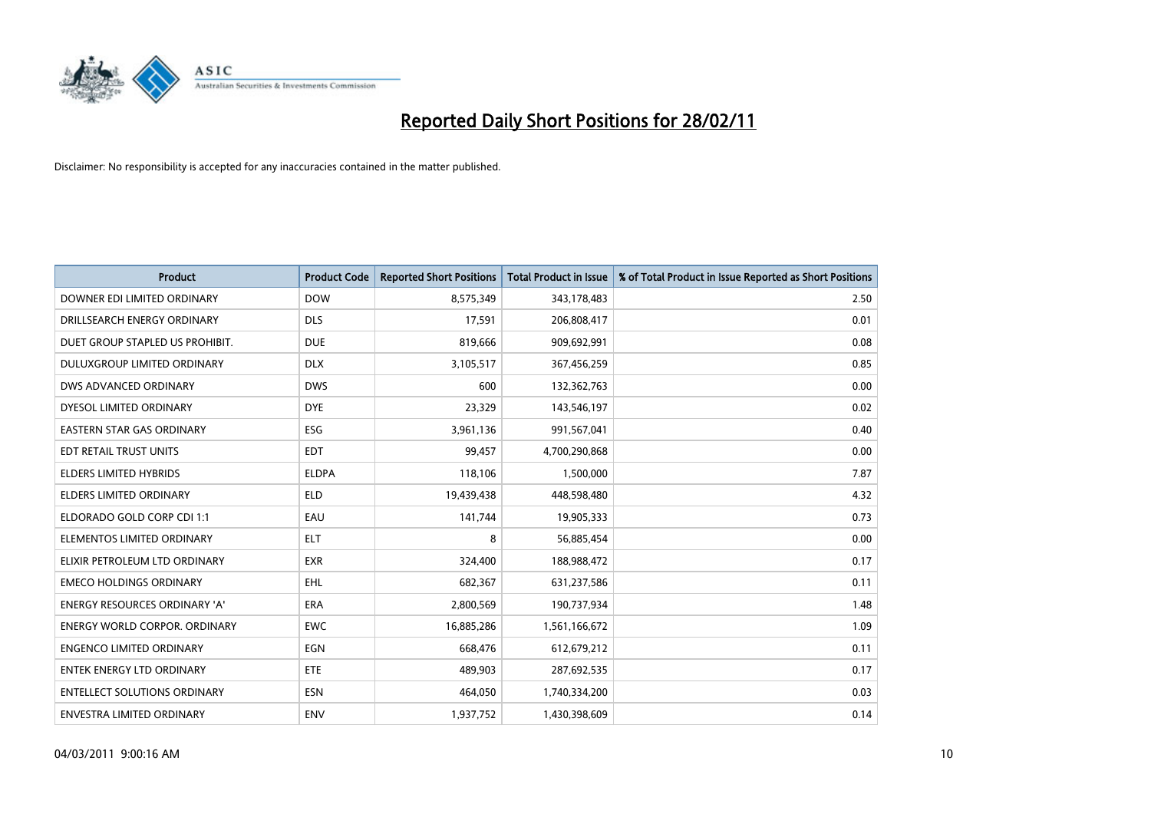

| Product                              | <b>Product Code</b> | <b>Reported Short Positions</b> | <b>Total Product in Issue</b> | % of Total Product in Issue Reported as Short Positions |
|--------------------------------------|---------------------|---------------------------------|-------------------------------|---------------------------------------------------------|
| DOWNER EDI LIMITED ORDINARY          | <b>DOW</b>          | 8,575,349                       | 343,178,483                   | 2.50                                                    |
| DRILLSEARCH ENERGY ORDINARY          | <b>DLS</b>          | 17,591                          | 206,808,417                   | 0.01                                                    |
| DUET GROUP STAPLED US PROHIBIT.      | <b>DUE</b>          | 819,666                         | 909,692,991                   | 0.08                                                    |
| DULUXGROUP LIMITED ORDINARY          | <b>DLX</b>          | 3,105,517                       | 367,456,259                   | 0.85                                                    |
| <b>DWS ADVANCED ORDINARY</b>         | <b>DWS</b>          | 600                             | 132,362,763                   | 0.00                                                    |
| DYESOL LIMITED ORDINARY              | <b>DYE</b>          | 23,329                          | 143,546,197                   | 0.02                                                    |
| <b>EASTERN STAR GAS ORDINARY</b>     | ESG                 | 3,961,136                       | 991,567,041                   | 0.40                                                    |
| EDT RETAIL TRUST UNITS               | <b>EDT</b>          | 99,457                          | 4,700,290,868                 | 0.00                                                    |
| <b>ELDERS LIMITED HYBRIDS</b>        | <b>ELDPA</b>        | 118,106                         | 1,500,000                     | 7.87                                                    |
| <b>ELDERS LIMITED ORDINARY</b>       | <b>ELD</b>          | 19,439,438                      | 448,598,480                   | 4.32                                                    |
| ELDORADO GOLD CORP CDI 1:1           | EAU                 | 141,744                         | 19,905,333                    | 0.73                                                    |
| ELEMENTOS LIMITED ORDINARY           | <b>ELT</b>          | 8                               | 56,885,454                    | 0.00                                                    |
| ELIXIR PETROLEUM LTD ORDINARY        | <b>EXR</b>          | 324,400                         | 188,988,472                   | 0.17                                                    |
| <b>EMECO HOLDINGS ORDINARY</b>       | <b>EHL</b>          | 682,367                         | 631,237,586                   | 0.11                                                    |
| <b>ENERGY RESOURCES ORDINARY 'A'</b> | <b>ERA</b>          | 2,800,569                       | 190,737,934                   | 1.48                                                    |
| <b>ENERGY WORLD CORPOR, ORDINARY</b> | <b>EWC</b>          | 16,885,286                      | 1,561,166,672                 | 1.09                                                    |
| <b>ENGENCO LIMITED ORDINARY</b>      | EGN                 | 668,476                         | 612,679,212                   | 0.11                                                    |
| ENTEK ENERGY LTD ORDINARY            | <b>ETE</b>          | 489,903                         | 287,692,535                   | 0.17                                                    |
| <b>ENTELLECT SOLUTIONS ORDINARY</b>  | <b>ESN</b>          | 464,050                         | 1,740,334,200                 | 0.03                                                    |
| <b>ENVESTRA LIMITED ORDINARY</b>     | <b>ENV</b>          | 1,937,752                       | 1,430,398,609                 | 0.14                                                    |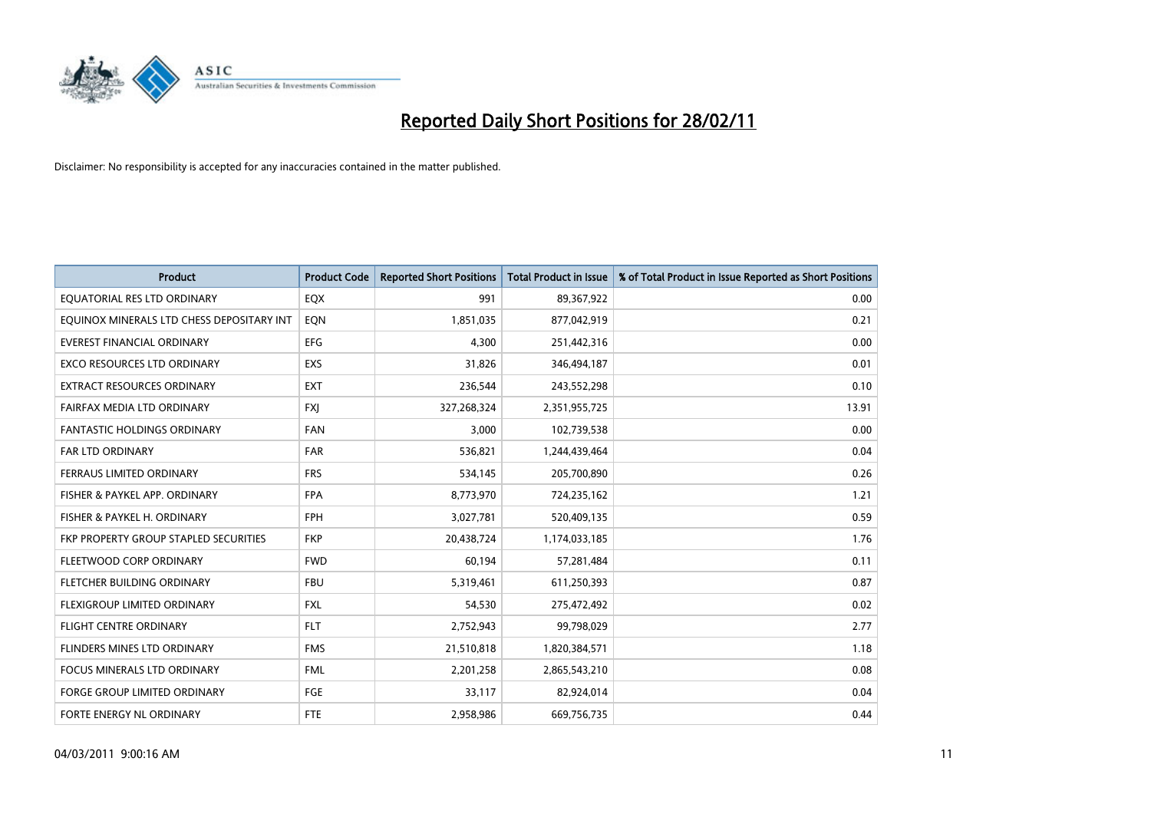

| <b>Product</b>                            | <b>Product Code</b> | <b>Reported Short Positions</b> | <b>Total Product in Issue</b> | % of Total Product in Issue Reported as Short Positions |
|-------------------------------------------|---------------------|---------------------------------|-------------------------------|---------------------------------------------------------|
| EQUATORIAL RES LTD ORDINARY               | EQX                 | 991                             | 89,367,922                    | 0.00                                                    |
| EQUINOX MINERALS LTD CHESS DEPOSITARY INT | EON                 | 1,851,035                       | 877,042,919                   | 0.21                                                    |
| <b>EVEREST FINANCIAL ORDINARY</b>         | <b>EFG</b>          | 4,300                           | 251,442,316                   | 0.00                                                    |
| EXCO RESOURCES LTD ORDINARY               | EXS                 | 31,826                          | 346,494,187                   | 0.01                                                    |
| <b>EXTRACT RESOURCES ORDINARY</b>         | <b>EXT</b>          | 236,544                         | 243,552,298                   | 0.10                                                    |
| FAIRFAX MEDIA LTD ORDINARY                | <b>FXI</b>          | 327,268,324                     | 2,351,955,725                 | 13.91                                                   |
| <b>FANTASTIC HOLDINGS ORDINARY</b>        | <b>FAN</b>          | 3,000                           | 102,739,538                   | 0.00                                                    |
| FAR LTD ORDINARY                          | <b>FAR</b>          | 536,821                         | 1,244,439,464                 | 0.04                                                    |
| FERRAUS LIMITED ORDINARY                  | <b>FRS</b>          | 534,145                         | 205,700,890                   | 0.26                                                    |
| FISHER & PAYKEL APP. ORDINARY             | <b>FPA</b>          | 8,773,970                       | 724,235,162                   | 1.21                                                    |
| FISHER & PAYKEL H. ORDINARY               | <b>FPH</b>          | 3,027,781                       | 520,409,135                   | 0.59                                                    |
| FKP PROPERTY GROUP STAPLED SECURITIES     | <b>FKP</b>          | 20,438,724                      | 1,174,033,185                 | 1.76                                                    |
| FLEETWOOD CORP ORDINARY                   | <b>FWD</b>          | 60,194                          | 57,281,484                    | 0.11                                                    |
| FLETCHER BUILDING ORDINARY                | <b>FBU</b>          | 5,319,461                       | 611,250,393                   | 0.87                                                    |
| FLEXIGROUP LIMITED ORDINARY               | <b>FXL</b>          | 54,530                          | 275,472,492                   | 0.02                                                    |
| FLIGHT CENTRE ORDINARY                    | <b>FLT</b>          | 2,752,943                       | 99,798,029                    | 2.77                                                    |
| FLINDERS MINES LTD ORDINARY               | <b>FMS</b>          | 21,510,818                      | 1,820,384,571                 | 1.18                                                    |
| FOCUS MINERALS LTD ORDINARY               | <b>FML</b>          | 2,201,258                       | 2,865,543,210                 | 0.08                                                    |
| <b>FORGE GROUP LIMITED ORDINARY</b>       | FGE                 | 33,117                          | 82,924,014                    | 0.04                                                    |
| FORTE ENERGY NL ORDINARY                  | <b>FTE</b>          | 2,958,986                       | 669,756,735                   | 0.44                                                    |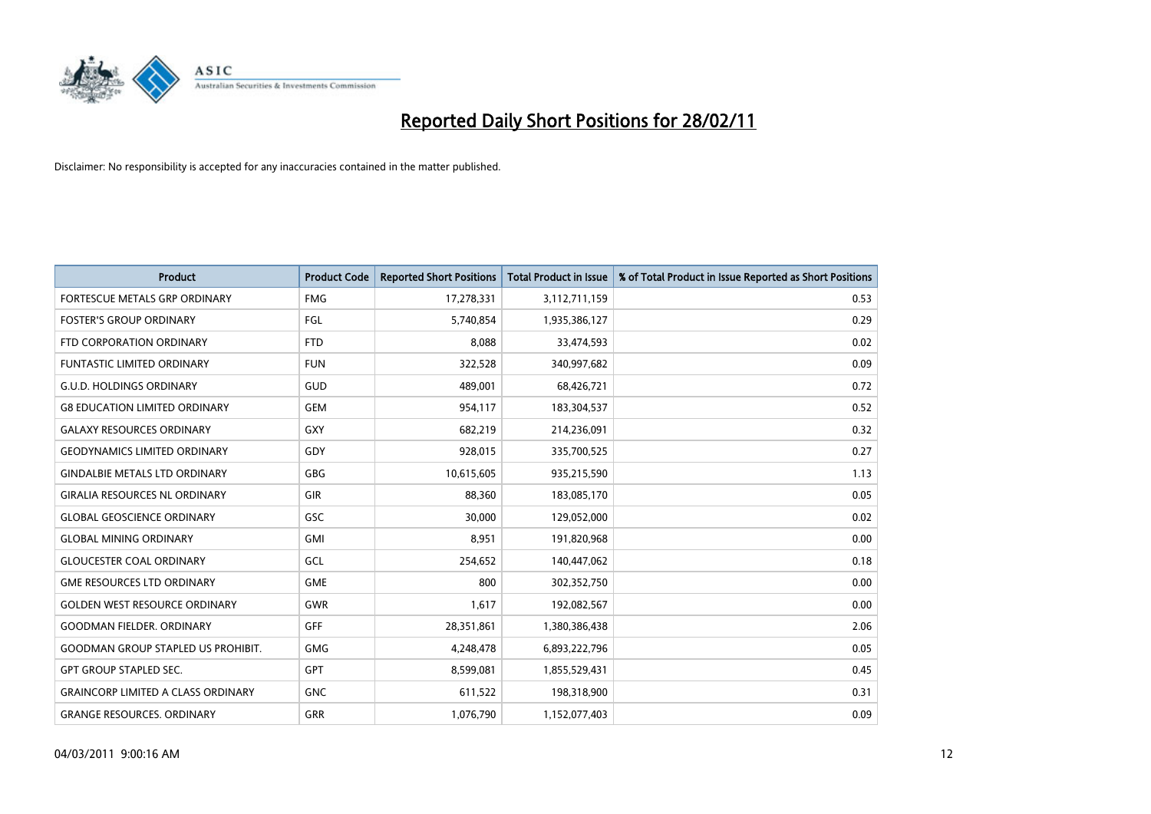

| <b>Product</b>                            | <b>Product Code</b> | <b>Reported Short Positions</b> | Total Product in Issue | % of Total Product in Issue Reported as Short Positions |
|-------------------------------------------|---------------------|---------------------------------|------------------------|---------------------------------------------------------|
| FORTESCUE METALS GRP ORDINARY             | <b>FMG</b>          | 17,278,331                      | 3,112,711,159          | 0.53                                                    |
| <b>FOSTER'S GROUP ORDINARY</b>            | <b>FGL</b>          | 5,740,854                       | 1,935,386,127          | 0.29                                                    |
| FTD CORPORATION ORDINARY                  | <b>FTD</b>          | 8,088                           | 33,474,593             | 0.02                                                    |
| FUNTASTIC LIMITED ORDINARY                | <b>FUN</b>          | 322,528                         | 340,997,682            | 0.09                                                    |
| <b>G.U.D. HOLDINGS ORDINARY</b>           | GUD                 | 489.001                         | 68,426,721             | 0.72                                                    |
| <b>G8 EDUCATION LIMITED ORDINARY</b>      | <b>GEM</b>          | 954,117                         | 183,304,537            | 0.52                                                    |
| <b>GALAXY RESOURCES ORDINARY</b>          | <b>GXY</b>          | 682.219                         | 214,236,091            | 0.32                                                    |
| <b>GEODYNAMICS LIMITED ORDINARY</b>       | GDY                 | 928,015                         | 335,700,525            | 0.27                                                    |
| <b>GINDALBIE METALS LTD ORDINARY</b>      | <b>GBG</b>          | 10,615,605                      | 935,215,590            | 1.13                                                    |
| <b>GIRALIA RESOURCES NL ORDINARY</b>      | GIR                 | 88.360                          | 183,085,170            | 0.05                                                    |
| <b>GLOBAL GEOSCIENCE ORDINARY</b>         | <b>GSC</b>          | 30.000                          | 129,052,000            | 0.02                                                    |
| <b>GLOBAL MINING ORDINARY</b>             | <b>GMI</b>          | 8,951                           | 191,820,968            | 0.00                                                    |
| <b>GLOUCESTER COAL ORDINARY</b>           | GCL                 | 254,652                         | 140,447,062            | 0.18                                                    |
| <b>GME RESOURCES LTD ORDINARY</b>         | <b>GME</b>          | 800                             | 302,352,750            | 0.00                                                    |
| <b>GOLDEN WEST RESOURCE ORDINARY</b>      | <b>GWR</b>          | 1,617                           | 192,082,567            | 0.00                                                    |
| <b>GOODMAN FIELDER, ORDINARY</b>          | <b>GFF</b>          | 28,351,861                      | 1,380,386,438          | 2.06                                                    |
| <b>GOODMAN GROUP STAPLED US PROHIBIT.</b> | <b>GMG</b>          | 4,248,478                       | 6,893,222,796          | 0.05                                                    |
| <b>GPT GROUP STAPLED SEC.</b>             | <b>GPT</b>          | 8,599,081                       | 1,855,529,431          | 0.45                                                    |
| <b>GRAINCORP LIMITED A CLASS ORDINARY</b> | <b>GNC</b>          | 611,522                         | 198,318,900            | 0.31                                                    |
| <b>GRANGE RESOURCES, ORDINARY</b>         | <b>GRR</b>          | 1,076,790                       | 1,152,077,403          | 0.09                                                    |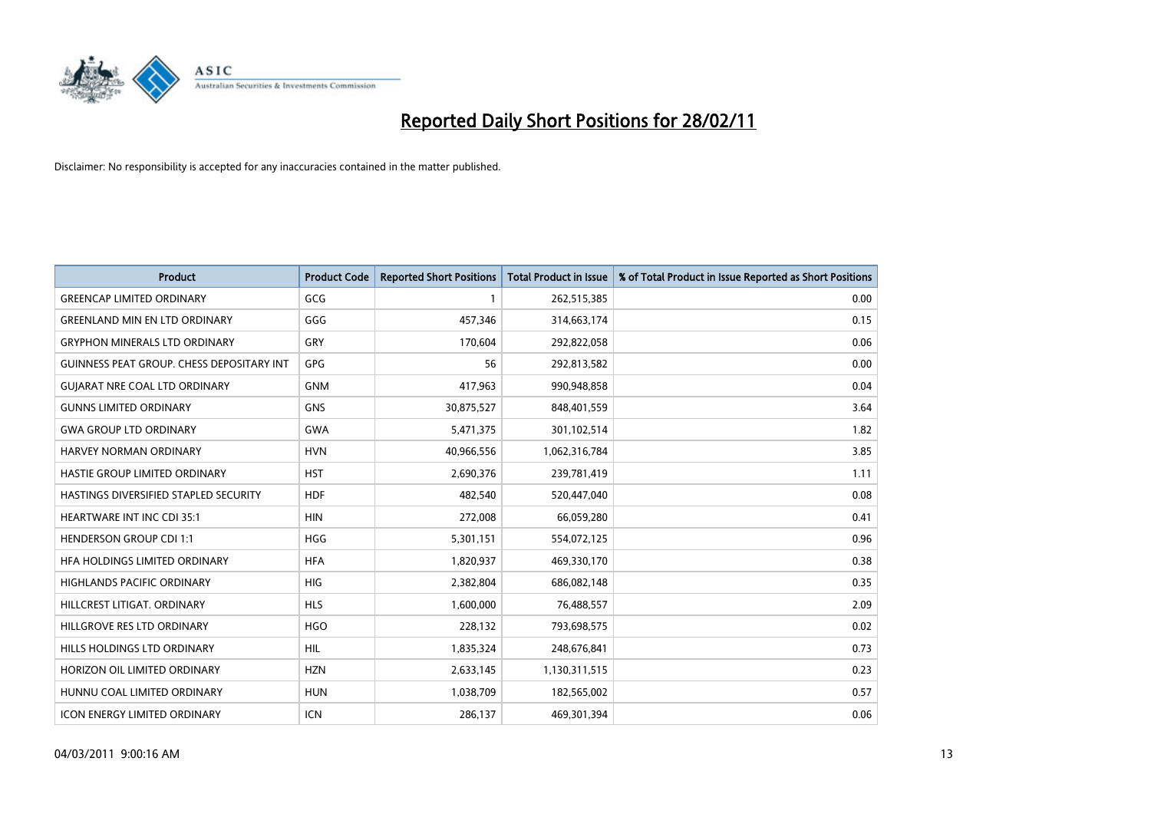

| Product                                          | <b>Product Code</b> | <b>Reported Short Positions</b> | <b>Total Product in Issue</b> | % of Total Product in Issue Reported as Short Positions |
|--------------------------------------------------|---------------------|---------------------------------|-------------------------------|---------------------------------------------------------|
| <b>GREENCAP LIMITED ORDINARY</b>                 | GCG                 |                                 | 262,515,385                   | 0.00                                                    |
| <b>GREENLAND MIN EN LTD ORDINARY</b>             | GGG                 | 457,346                         | 314,663,174                   | 0.15                                                    |
| <b>GRYPHON MINERALS LTD ORDINARY</b>             | GRY                 | 170,604                         | 292,822,058                   | 0.06                                                    |
| <b>GUINNESS PEAT GROUP. CHESS DEPOSITARY INT</b> | <b>GPG</b>          | 56                              | 292,813,582                   | 0.00                                                    |
| <b>GUIARAT NRE COAL LTD ORDINARY</b>             | <b>GNM</b>          | 417,963                         | 990,948,858                   | 0.04                                                    |
| <b>GUNNS LIMITED ORDINARY</b>                    | <b>GNS</b>          | 30,875,527                      | 848,401,559                   | 3.64                                                    |
| <b>GWA GROUP LTD ORDINARY</b>                    | <b>GWA</b>          | 5,471,375                       | 301,102,514                   | 1.82                                                    |
| <b>HARVEY NORMAN ORDINARY</b>                    | <b>HVN</b>          | 40,966,556                      | 1,062,316,784                 | 3.85                                                    |
| HASTIE GROUP LIMITED ORDINARY                    | <b>HST</b>          | 2,690,376                       | 239,781,419                   | 1.11                                                    |
| HASTINGS DIVERSIFIED STAPLED SECURITY            | <b>HDF</b>          | 482,540                         | 520,447,040                   | 0.08                                                    |
| <b>HEARTWARE INT INC CDI 35:1</b>                | <b>HIN</b>          | 272,008                         | 66,059,280                    | 0.41                                                    |
| <b>HENDERSON GROUP CDI 1:1</b>                   | <b>HGG</b>          | 5,301,151                       | 554,072,125                   | 0.96                                                    |
| HEA HOLDINGS LIMITED ORDINARY                    | <b>HFA</b>          | 1,820,937                       | 469,330,170                   | 0.38                                                    |
| <b>HIGHLANDS PACIFIC ORDINARY</b>                | <b>HIG</b>          | 2,382,804                       | 686,082,148                   | 0.35                                                    |
| HILLCREST LITIGAT, ORDINARY                      | <b>HLS</b>          | 1,600,000                       | 76,488,557                    | 2.09                                                    |
| HILLGROVE RES LTD ORDINARY                       | <b>HGO</b>          | 228,132                         | 793,698,575                   | 0.02                                                    |
| HILLS HOLDINGS LTD ORDINARY                      | <b>HIL</b>          | 1,835,324                       | 248,676,841                   | 0.73                                                    |
| HORIZON OIL LIMITED ORDINARY                     | <b>HZN</b>          | 2,633,145                       | 1,130,311,515                 | 0.23                                                    |
| HUNNU COAL LIMITED ORDINARY                      | <b>HUN</b>          | 1,038,709                       | 182,565,002                   | 0.57                                                    |
| <b>ICON ENERGY LIMITED ORDINARY</b>              | <b>ICN</b>          | 286,137                         | 469,301,394                   | 0.06                                                    |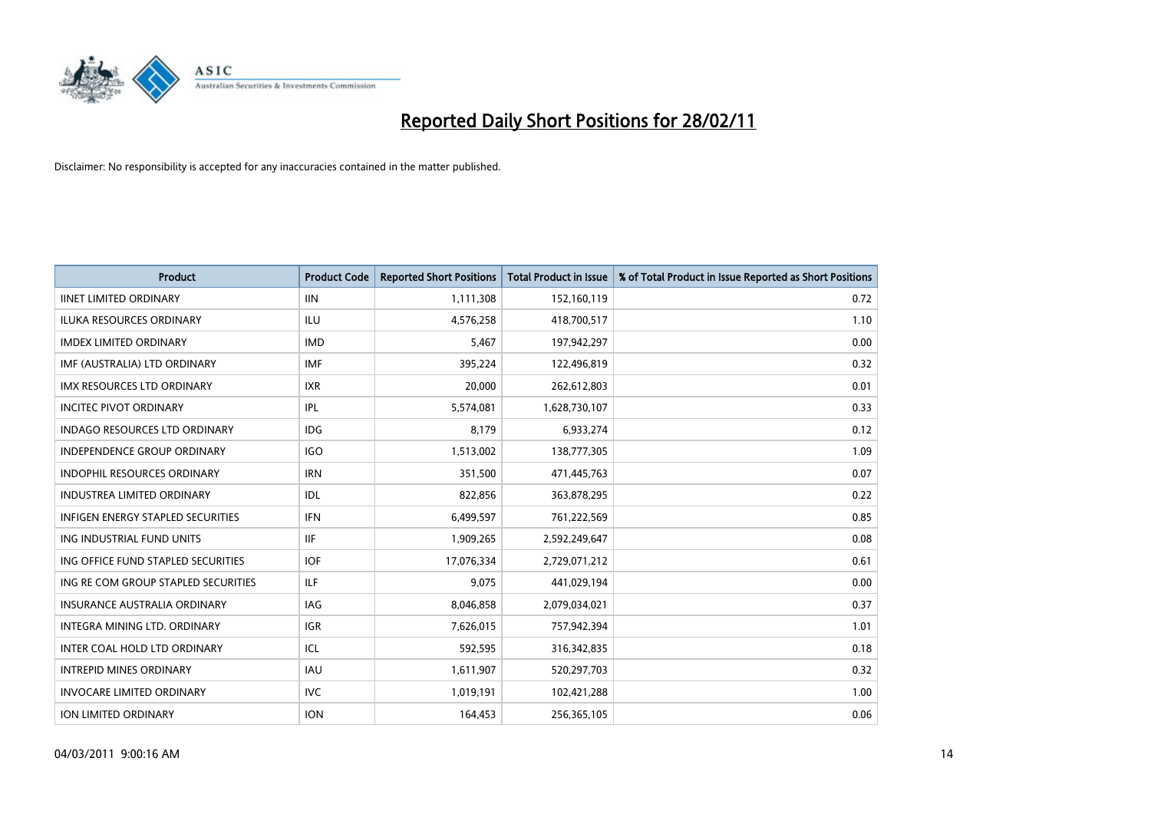

| Product                                  | <b>Product Code</b> | <b>Reported Short Positions</b> | <b>Total Product in Issue</b> | % of Total Product in Issue Reported as Short Positions |
|------------------------------------------|---------------------|---------------------------------|-------------------------------|---------------------------------------------------------|
| <b>IINET LIMITED ORDINARY</b>            | <b>IIN</b>          | 1,111,308                       | 152,160,119                   | 0.72                                                    |
| ILUKA RESOURCES ORDINARY                 | ILU                 | 4,576,258                       | 418,700,517                   | 1.10                                                    |
| <b>IMDEX LIMITED ORDINARY</b>            | <b>IMD</b>          | 5,467                           | 197,942,297                   | 0.00                                                    |
| IMF (AUSTRALIA) LTD ORDINARY             | <b>IMF</b>          | 395,224                         | 122,496,819                   | 0.32                                                    |
| <b>IMX RESOURCES LTD ORDINARY</b>        | <b>IXR</b>          | 20,000                          | 262,612,803                   | 0.01                                                    |
| <b>INCITEC PIVOT ORDINARY</b>            | IPL                 | 5,574,081                       | 1,628,730,107                 | 0.33                                                    |
| <b>INDAGO RESOURCES LTD ORDINARY</b>     | <b>IDG</b>          | 8,179                           | 6,933,274                     | 0.12                                                    |
| <b>INDEPENDENCE GROUP ORDINARY</b>       | <b>IGO</b>          | 1,513,002                       | 138,777,305                   | 1.09                                                    |
| INDOPHIL RESOURCES ORDINARY              | <b>IRN</b>          | 351,500                         | 471,445,763                   | 0.07                                                    |
| <b>INDUSTREA LIMITED ORDINARY</b>        | IDL                 | 822,856                         | 363,878,295                   | 0.22                                                    |
| <b>INFIGEN ENERGY STAPLED SECURITIES</b> | <b>IFN</b>          | 6,499,597                       | 761,222,569                   | 0.85                                                    |
| ING INDUSTRIAL FUND UNITS                | <b>IIF</b>          | 1,909,265                       | 2,592,249,647                 | 0.08                                                    |
| ING OFFICE FUND STAPLED SECURITIES       | <b>IOF</b>          | 17,076,334                      | 2,729,071,212                 | 0.61                                                    |
| ING RE COM GROUP STAPLED SECURITIES      | <b>ILF</b>          | 9,075                           | 441,029,194                   | 0.00                                                    |
| <b>INSURANCE AUSTRALIA ORDINARY</b>      | <b>IAG</b>          | 8,046,858                       | 2,079,034,021                 | 0.37                                                    |
| INTEGRA MINING LTD, ORDINARY             | <b>IGR</b>          | 7,626,015                       | 757,942,394                   | 1.01                                                    |
| INTER COAL HOLD LTD ORDINARY             | ICL                 | 592,595                         | 316,342,835                   | 0.18                                                    |
| <b>INTREPID MINES ORDINARY</b>           | <b>IAU</b>          | 1,611,907                       | 520,297,703                   | 0.32                                                    |
| <b>INVOCARE LIMITED ORDINARY</b>         | IVC                 | 1,019,191                       | 102,421,288                   | 1.00                                                    |
| ION LIMITED ORDINARY                     | <b>ION</b>          | 164,453                         | 256,365,105                   | 0.06                                                    |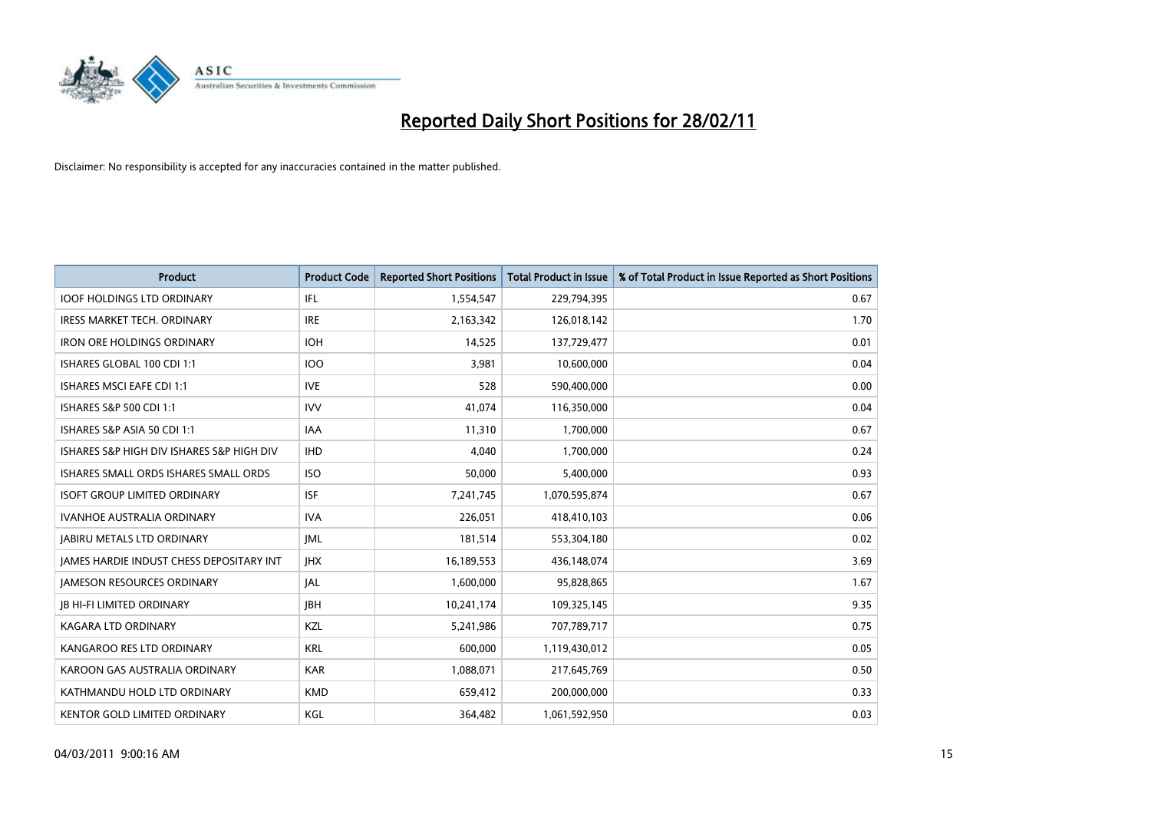

| Product                                         | <b>Product Code</b> | <b>Reported Short Positions</b> | Total Product in Issue | % of Total Product in Issue Reported as Short Positions |
|-------------------------------------------------|---------------------|---------------------------------|------------------------|---------------------------------------------------------|
| <b>IOOF HOLDINGS LTD ORDINARY</b>               | <b>IFL</b>          | 1,554,547                       | 229,794,395            | 0.67                                                    |
| IRESS MARKET TECH. ORDINARY                     | <b>IRE</b>          | 2,163,342                       | 126,018,142            | 1.70                                                    |
| <b>IRON ORE HOLDINGS ORDINARY</b>               | <b>IOH</b>          | 14,525                          | 137,729,477            | 0.01                                                    |
| ISHARES GLOBAL 100 CDI 1:1                      | <b>IOO</b>          | 3,981                           | 10,600,000             | 0.04                                                    |
| <b>ISHARES MSCI EAFE CDI 1:1</b>                | <b>IVE</b>          | 528                             | 590,400,000            | 0.00                                                    |
| ISHARES S&P 500 CDI 1:1                         | <b>IVV</b>          | 41,074                          | 116,350,000            | 0.04                                                    |
| ISHARES S&P ASIA 50 CDI 1:1                     | <b>IAA</b>          | 11,310                          | 1,700,000              | 0.67                                                    |
| ISHARES S&P HIGH DIV ISHARES S&P HIGH DIV       | <b>IHD</b>          | 4,040                           | 1,700,000              | 0.24                                                    |
| ISHARES SMALL ORDS ISHARES SMALL ORDS           | <b>ISO</b>          | 50,000                          | 5,400,000              | 0.93                                                    |
| <b>ISOFT GROUP LIMITED ORDINARY</b>             | <b>ISF</b>          | 7,241,745                       | 1,070,595,874          | 0.67                                                    |
| <b>IVANHOE AUSTRALIA ORDINARY</b>               | <b>IVA</b>          | 226,051                         | 418,410,103            | 0.06                                                    |
| <b>JABIRU METALS LTD ORDINARY</b>               | <b>JML</b>          | 181,514                         | 553,304,180            | 0.02                                                    |
| <b>IAMES HARDIE INDUST CHESS DEPOSITARY INT</b> | <b>IHX</b>          | 16,189,553                      | 436,148,074            | 3.69                                                    |
| <b>JAMESON RESOURCES ORDINARY</b>               | <b>JAL</b>          | 1,600,000                       | 95,828,865             | 1.67                                                    |
| <b>JB HI-FI LIMITED ORDINARY</b>                | <b>IBH</b>          | 10,241,174                      | 109,325,145            | 9.35                                                    |
| KAGARA LTD ORDINARY                             | KZL                 | 5,241,986                       | 707,789,717            | 0.75                                                    |
| KANGAROO RES LTD ORDINARY                       | <b>KRL</b>          | 600,000                         | 1,119,430,012          | 0.05                                                    |
| KAROON GAS AUSTRALIA ORDINARY                   | <b>KAR</b>          | 1,088,071                       | 217,645,769            | 0.50                                                    |
| KATHMANDU HOLD LTD ORDINARY                     | <b>KMD</b>          | 659,412                         | 200,000,000            | 0.33                                                    |
| KENTOR GOLD LIMITED ORDINARY                    | KGL                 | 364,482                         | 1,061,592,950          | 0.03                                                    |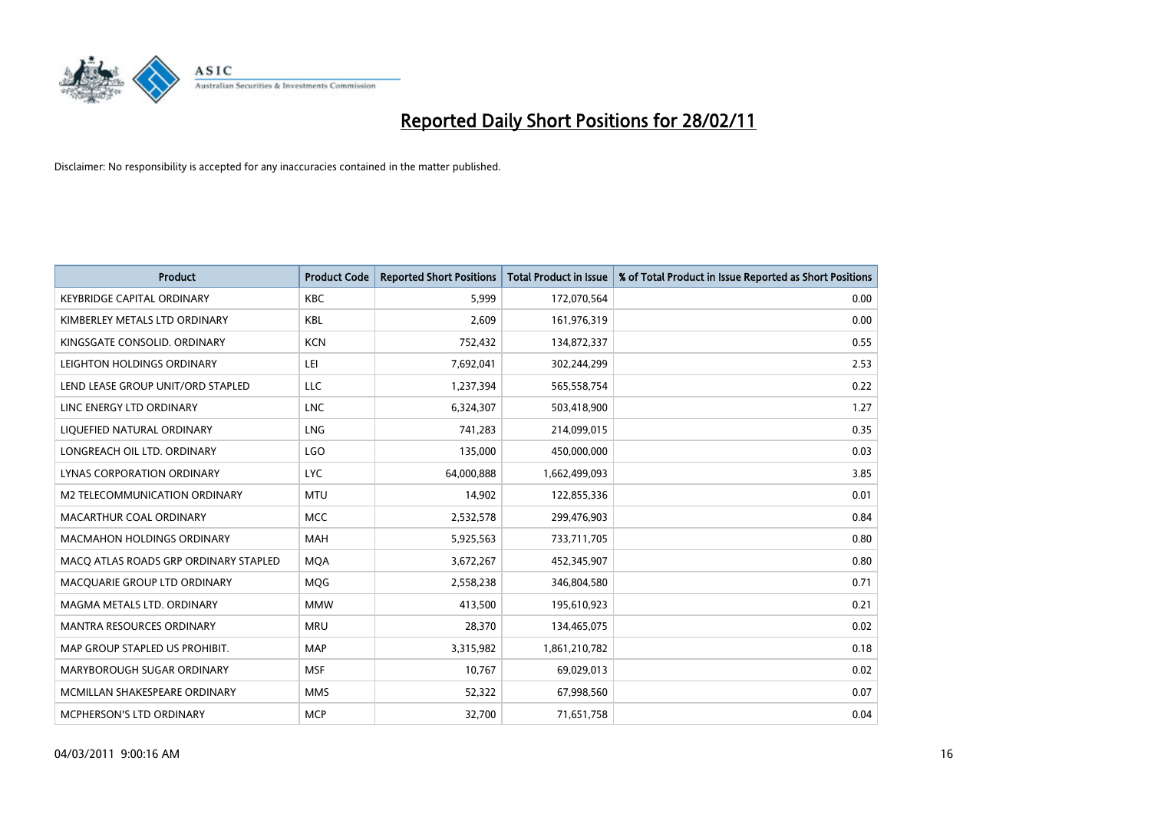

| <b>Product</b>                        | <b>Product Code</b> | <b>Reported Short Positions</b> | Total Product in Issue | % of Total Product in Issue Reported as Short Positions |
|---------------------------------------|---------------------|---------------------------------|------------------------|---------------------------------------------------------|
| <b>KEYBRIDGE CAPITAL ORDINARY</b>     | <b>KBC</b>          | 5,999                           | 172,070,564            | 0.00                                                    |
| KIMBERLEY METALS LTD ORDINARY         | <b>KBL</b>          | 2,609                           | 161,976,319            | 0.00                                                    |
| KINGSGATE CONSOLID. ORDINARY          | <b>KCN</b>          | 752,432                         | 134,872,337            | 0.55                                                    |
| LEIGHTON HOLDINGS ORDINARY            | LEI                 | 7,692,041                       | 302,244,299            | 2.53                                                    |
| LEND LEASE GROUP UNIT/ORD STAPLED     | <b>LLC</b>          | 1,237,394                       | 565,558,754            | 0.22                                                    |
| LINC ENERGY LTD ORDINARY              | <b>LNC</b>          | 6,324,307                       | 503,418,900            | 1.27                                                    |
| LIQUEFIED NATURAL ORDINARY            | <b>LNG</b>          | 741,283                         | 214,099,015            | 0.35                                                    |
| LONGREACH OIL LTD. ORDINARY           | <b>LGO</b>          | 135,000                         | 450,000,000            | 0.03                                                    |
| LYNAS CORPORATION ORDINARY            | <b>LYC</b>          | 64,000,888                      | 1,662,499,093          | 3.85                                                    |
| M2 TELECOMMUNICATION ORDINARY         | <b>MTU</b>          | 14,902                          | 122,855,336            | 0.01                                                    |
| MACARTHUR COAL ORDINARY               | <b>MCC</b>          | 2,532,578                       | 299,476,903            | 0.84                                                    |
| <b>MACMAHON HOLDINGS ORDINARY</b>     | <b>MAH</b>          | 5,925,563                       | 733,711,705            | 0.80                                                    |
| MACQ ATLAS ROADS GRP ORDINARY STAPLED | <b>MQA</b>          | 3,672,267                       | 452,345,907            | 0.80                                                    |
| MACQUARIE GROUP LTD ORDINARY          | <b>MOG</b>          | 2,558,238                       | 346,804,580            | 0.71                                                    |
| MAGMA METALS LTD. ORDINARY            | <b>MMW</b>          | 413,500                         | 195,610,923            | 0.21                                                    |
| MANTRA RESOURCES ORDINARY             | <b>MRU</b>          | 28,370                          | 134,465,075            | 0.02                                                    |
| MAP GROUP STAPLED US PROHIBIT.        | <b>MAP</b>          | 3,315,982                       | 1,861,210,782          | 0.18                                                    |
| MARYBOROUGH SUGAR ORDINARY            | <b>MSF</b>          | 10,767                          | 69,029,013             | 0.02                                                    |
| MCMILLAN SHAKESPEARE ORDINARY         | <b>MMS</b>          | 52,322                          | 67,998,560             | 0.07                                                    |
| MCPHERSON'S LTD ORDINARY              | <b>MCP</b>          | 32,700                          | 71,651,758             | 0.04                                                    |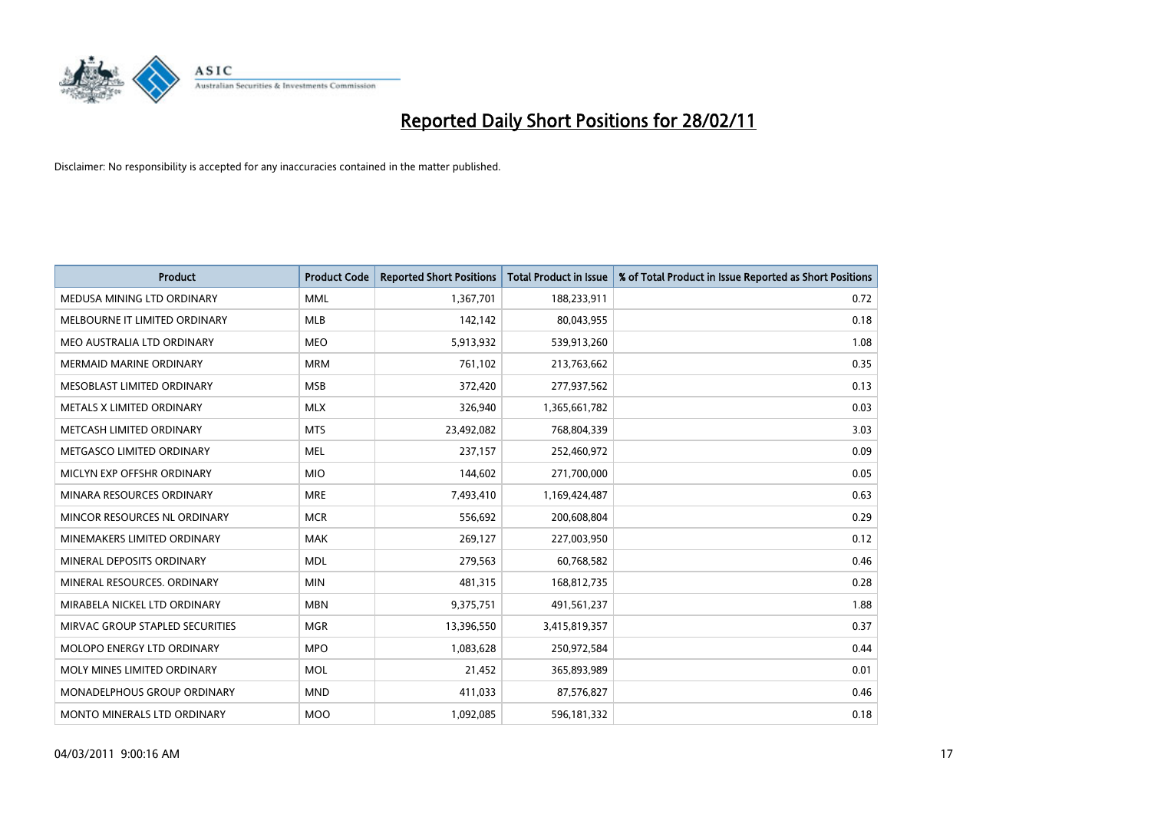

| Product                            | <b>Product Code</b> | <b>Reported Short Positions</b> | Total Product in Issue | % of Total Product in Issue Reported as Short Positions |
|------------------------------------|---------------------|---------------------------------|------------------------|---------------------------------------------------------|
| MEDUSA MINING LTD ORDINARY         | <b>MML</b>          | 1,367,701                       | 188,233,911            | 0.72                                                    |
| MELBOURNE IT LIMITED ORDINARY      | <b>MLB</b>          | 142,142                         | 80,043,955             | 0.18                                                    |
| MEO AUSTRALIA LTD ORDINARY         | <b>MEO</b>          | 5,913,932                       | 539,913,260            | 1.08                                                    |
| MERMAID MARINE ORDINARY            | <b>MRM</b>          | 761,102                         | 213,763,662            | 0.35                                                    |
| MESOBLAST LIMITED ORDINARY         | <b>MSB</b>          | 372,420                         | 277,937,562            | 0.13                                                    |
| METALS X LIMITED ORDINARY          | <b>MLX</b>          | 326,940                         | 1,365,661,782          | 0.03                                                    |
| METCASH LIMITED ORDINARY           | <b>MTS</b>          | 23,492,082                      | 768,804,339            | 3.03                                                    |
| METGASCO LIMITED ORDINARY          | <b>MEL</b>          | 237,157                         | 252,460,972            | 0.09                                                    |
| MICLYN EXP OFFSHR ORDINARY         | <b>MIO</b>          | 144,602                         | 271,700,000            | 0.05                                                    |
| MINARA RESOURCES ORDINARY          | <b>MRE</b>          | 7,493,410                       | 1,169,424,487          | 0.63                                                    |
| MINCOR RESOURCES NL ORDINARY       | <b>MCR</b>          | 556,692                         | 200,608,804            | 0.29                                                    |
| MINEMAKERS LIMITED ORDINARY        | <b>MAK</b>          | 269,127                         | 227,003,950            | 0.12                                                    |
| MINERAL DEPOSITS ORDINARY          | <b>MDL</b>          | 279,563                         | 60,768,582             | 0.46                                                    |
| MINERAL RESOURCES, ORDINARY        | <b>MIN</b>          | 481,315                         | 168,812,735            | 0.28                                                    |
| MIRABELA NICKEL LTD ORDINARY       | <b>MBN</b>          | 9,375,751                       | 491,561,237            | 1.88                                                    |
| MIRVAC GROUP STAPLED SECURITIES    | <b>MGR</b>          | 13,396,550                      | 3,415,819,357          | 0.37                                                    |
| MOLOPO ENERGY LTD ORDINARY         | <b>MPO</b>          | 1,083,628                       | 250,972,584            | 0.44                                                    |
| MOLY MINES LIMITED ORDINARY        | <b>MOL</b>          | 21,452                          | 365,893,989            | 0.01                                                    |
| <b>MONADELPHOUS GROUP ORDINARY</b> | <b>MND</b>          | 411,033                         | 87,576,827             | 0.46                                                    |
| MONTO MINERALS LTD ORDINARY        | <b>MOO</b>          | 1,092,085                       | 596,181,332            | 0.18                                                    |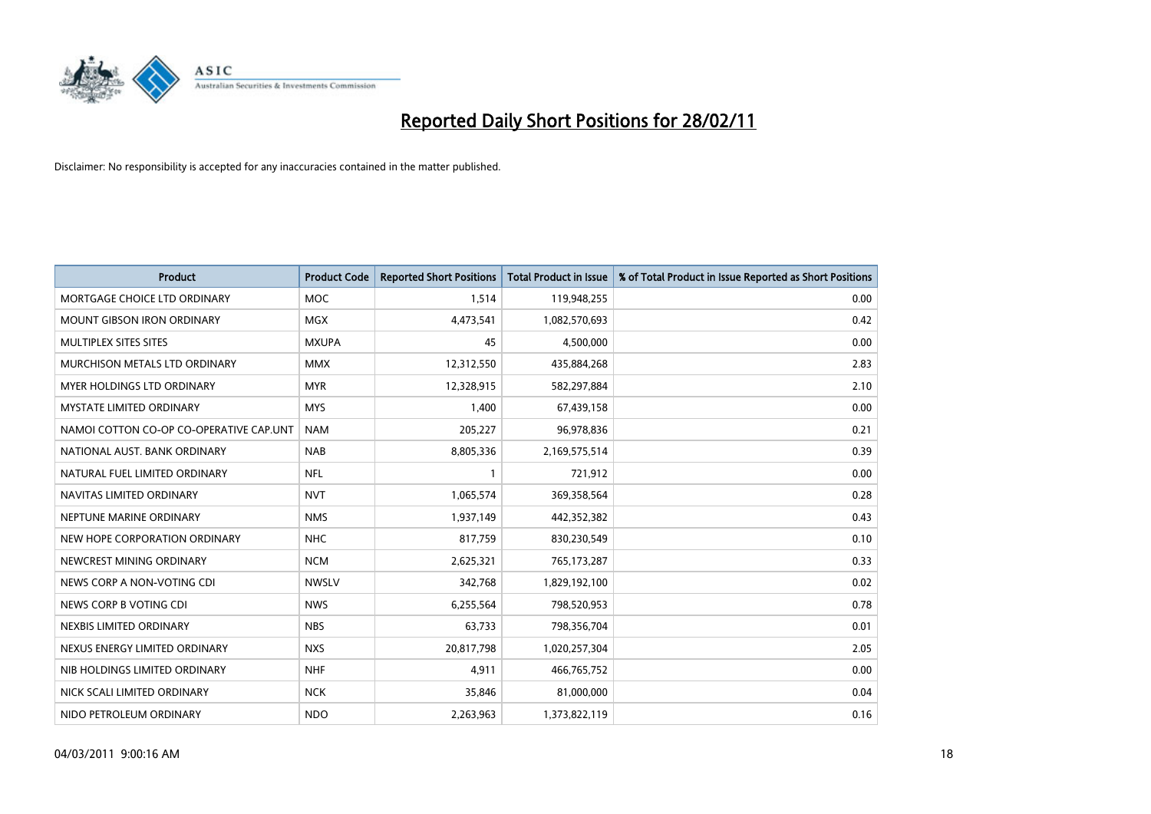

| Product                                 | <b>Product Code</b> | <b>Reported Short Positions</b> | <b>Total Product in Issue</b> | % of Total Product in Issue Reported as Short Positions |
|-----------------------------------------|---------------------|---------------------------------|-------------------------------|---------------------------------------------------------|
| MORTGAGE CHOICE LTD ORDINARY            | MOC                 | 1,514                           | 119,948,255                   | 0.00                                                    |
| MOUNT GIBSON IRON ORDINARY              | <b>MGX</b>          | 4,473,541                       | 1,082,570,693                 | 0.42                                                    |
| MULTIPLEX SITES SITES                   | <b>MXUPA</b>        | 45                              | 4,500,000                     | 0.00                                                    |
| MURCHISON METALS LTD ORDINARY           | <b>MMX</b>          | 12,312,550                      | 435,884,268                   | 2.83                                                    |
| <b>MYER HOLDINGS LTD ORDINARY</b>       | <b>MYR</b>          | 12,328,915                      | 582,297,884                   | 2.10                                                    |
| <b>MYSTATE LIMITED ORDINARY</b>         | <b>MYS</b>          | 1,400                           | 67,439,158                    | 0.00                                                    |
| NAMOI COTTON CO-OP CO-OPERATIVE CAP.UNT | <b>NAM</b>          | 205,227                         | 96,978,836                    | 0.21                                                    |
| NATIONAL AUST. BANK ORDINARY            | <b>NAB</b>          | 8,805,336                       | 2,169,575,514                 | 0.39                                                    |
| NATURAL FUEL LIMITED ORDINARY           | <b>NFL</b>          |                                 | 721,912                       | 0.00                                                    |
| NAVITAS LIMITED ORDINARY                | <b>NVT</b>          | 1,065,574                       | 369,358,564                   | 0.28                                                    |
| NEPTUNE MARINE ORDINARY                 | <b>NMS</b>          | 1,937,149                       | 442,352,382                   | 0.43                                                    |
| NEW HOPE CORPORATION ORDINARY           | <b>NHC</b>          | 817,759                         | 830,230,549                   | 0.10                                                    |
| NEWCREST MINING ORDINARY                | <b>NCM</b>          | 2,625,321                       | 765,173,287                   | 0.33                                                    |
| NEWS CORP A NON-VOTING CDI              | <b>NWSLV</b>        | 342,768                         | 1,829,192,100                 | 0.02                                                    |
| NEWS CORP B VOTING CDI                  | <b>NWS</b>          | 6,255,564                       | 798,520,953                   | 0.78                                                    |
| NEXBIS LIMITED ORDINARY                 | <b>NBS</b>          | 63,733                          | 798,356,704                   | 0.01                                                    |
| NEXUS ENERGY LIMITED ORDINARY           | <b>NXS</b>          | 20,817,798                      | 1,020,257,304                 | 2.05                                                    |
| NIB HOLDINGS LIMITED ORDINARY           | <b>NHF</b>          | 4,911                           | 466,765,752                   | 0.00                                                    |
| NICK SCALI LIMITED ORDINARY             | <b>NCK</b>          | 35,846                          | 81,000,000                    | 0.04                                                    |
| NIDO PETROLEUM ORDINARY                 | <b>NDO</b>          | 2,263,963                       | 1,373,822,119                 | 0.16                                                    |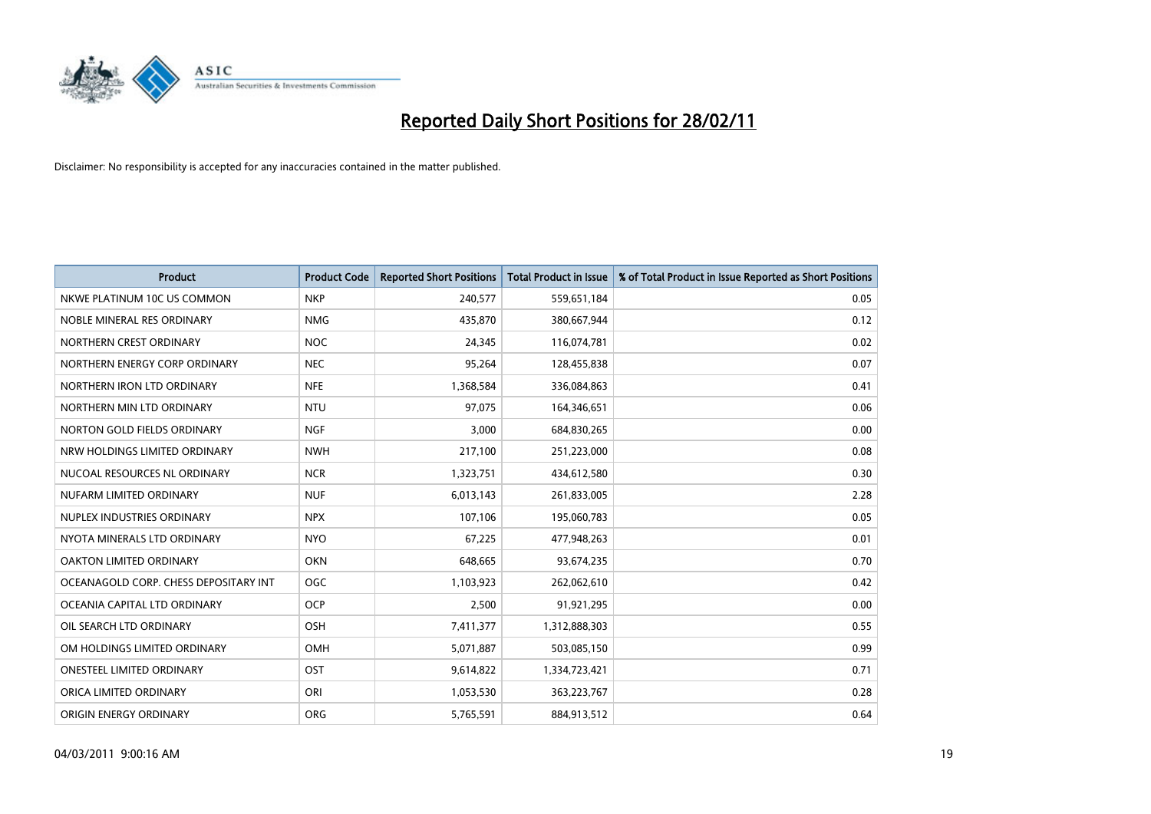

| <b>Product</b>                        | <b>Product Code</b> | <b>Reported Short Positions</b> | <b>Total Product in Issue</b> | % of Total Product in Issue Reported as Short Positions |
|---------------------------------------|---------------------|---------------------------------|-------------------------------|---------------------------------------------------------|
| NKWE PLATINUM 10C US COMMON           | <b>NKP</b>          | 240,577                         | 559,651,184                   | 0.05                                                    |
| NOBLE MINERAL RES ORDINARY            | <b>NMG</b>          | 435,870                         | 380,667,944                   | 0.12                                                    |
| NORTHERN CREST ORDINARY               | <b>NOC</b>          | 24,345                          | 116,074,781                   | 0.02                                                    |
| NORTHERN ENERGY CORP ORDINARY         | <b>NEC</b>          | 95,264                          | 128,455,838                   | 0.07                                                    |
| NORTHERN IRON LTD ORDINARY            | <b>NFE</b>          | 1,368,584                       | 336,084,863                   | 0.41                                                    |
| NORTHERN MIN LTD ORDINARY             | <b>NTU</b>          | 97,075                          | 164,346,651                   | 0.06                                                    |
| NORTON GOLD FIELDS ORDINARY           | <b>NGF</b>          | 3,000                           | 684,830,265                   | 0.00                                                    |
| NRW HOLDINGS LIMITED ORDINARY         | <b>NWH</b>          | 217,100                         | 251,223,000                   | 0.08                                                    |
| NUCOAL RESOURCES NL ORDINARY          | <b>NCR</b>          | 1,323,751                       | 434,612,580                   | 0.30                                                    |
| NUFARM LIMITED ORDINARY               | <b>NUF</b>          | 6,013,143                       | 261,833,005                   | 2.28                                                    |
| NUPLEX INDUSTRIES ORDINARY            | <b>NPX</b>          | 107,106                         | 195,060,783                   | 0.05                                                    |
| NYOTA MINERALS LTD ORDINARY           | <b>NYO</b>          | 67,225                          | 477,948,263                   | 0.01                                                    |
| OAKTON LIMITED ORDINARY               | <b>OKN</b>          | 648,665                         | 93,674,235                    | 0.70                                                    |
| OCEANAGOLD CORP. CHESS DEPOSITARY INT | <b>OGC</b>          | 1,103,923                       | 262,062,610                   | 0.42                                                    |
| OCEANIA CAPITAL LTD ORDINARY          | <b>OCP</b>          | 2,500                           | 91,921,295                    | 0.00                                                    |
| OIL SEARCH LTD ORDINARY               | OSH                 | 7,411,377                       | 1,312,888,303                 | 0.55                                                    |
| OM HOLDINGS LIMITED ORDINARY          | <b>OMH</b>          | 5,071,887                       | 503,085,150                   | 0.99                                                    |
| ONESTEEL LIMITED ORDINARY             | <b>OST</b>          | 9,614,822                       | 1,334,723,421                 | 0.71                                                    |
| ORICA LIMITED ORDINARY                | ORI                 | 1,053,530                       | 363,223,767                   | 0.28                                                    |
| ORIGIN ENERGY ORDINARY                | <b>ORG</b>          | 5,765,591                       | 884,913,512                   | 0.64                                                    |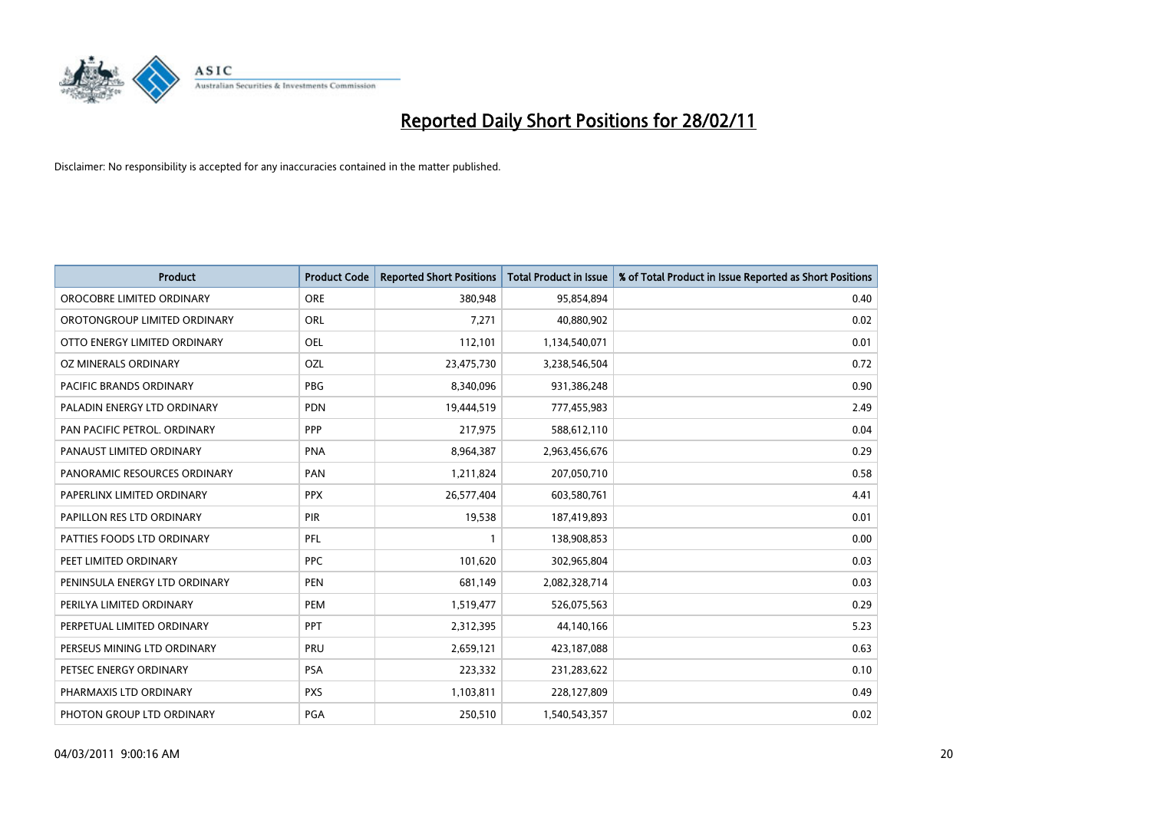

| Product                        | <b>Product Code</b> | <b>Reported Short Positions</b> | Total Product in Issue | % of Total Product in Issue Reported as Short Positions |
|--------------------------------|---------------------|---------------------------------|------------------------|---------------------------------------------------------|
| OROCOBRE LIMITED ORDINARY      | <b>ORE</b>          | 380,948                         | 95,854,894             | 0.40                                                    |
| OROTONGROUP LIMITED ORDINARY   | <b>ORL</b>          | 7,271                           | 40,880,902             | 0.02                                                    |
| OTTO ENERGY LIMITED ORDINARY   | <b>OEL</b>          | 112,101                         | 1,134,540,071          | 0.01                                                    |
| OZ MINERALS ORDINARY           | OZL                 | 23,475,730                      | 3,238,546,504          | 0.72                                                    |
| <b>PACIFIC BRANDS ORDINARY</b> | <b>PBG</b>          | 8,340,096                       | 931,386,248            | 0.90                                                    |
| PALADIN ENERGY LTD ORDINARY    | <b>PDN</b>          | 19,444,519                      | 777,455,983            | 2.49                                                    |
| PAN PACIFIC PETROL. ORDINARY   | PPP                 | 217,975                         | 588,612,110            | 0.04                                                    |
| PANAUST LIMITED ORDINARY       | <b>PNA</b>          | 8,964,387                       | 2,963,456,676          | 0.29                                                    |
| PANORAMIC RESOURCES ORDINARY   | PAN                 | 1,211,824                       | 207,050,710            | 0.58                                                    |
| PAPERLINX LIMITED ORDINARY     | <b>PPX</b>          | 26,577,404                      | 603,580,761            | 4.41                                                    |
| PAPILLON RES LTD ORDINARY      | PIR                 | 19,538                          | 187,419,893            | 0.01                                                    |
| PATTIES FOODS LTD ORDINARY     | PFL                 |                                 | 138,908,853            | 0.00                                                    |
| PEET LIMITED ORDINARY          | <b>PPC</b>          | 101,620                         | 302,965,804            | 0.03                                                    |
| PENINSULA ENERGY LTD ORDINARY  | <b>PEN</b>          | 681,149                         | 2,082,328,714          | 0.03                                                    |
| PERILYA LIMITED ORDINARY       | PEM                 | 1,519,477                       | 526,075,563            | 0.29                                                    |
| PERPETUAL LIMITED ORDINARY     | PPT                 | 2,312,395                       | 44,140,166             | 5.23                                                    |
| PERSEUS MINING LTD ORDINARY    | PRU                 | 2,659,121                       | 423,187,088            | 0.63                                                    |
| PETSEC ENERGY ORDINARY         | PSA                 | 223,332                         | 231,283,622            | 0.10                                                    |
| PHARMAXIS LTD ORDINARY         | <b>PXS</b>          | 1,103,811                       | 228,127,809            | 0.49                                                    |
| PHOTON GROUP LTD ORDINARY      | PGA                 | 250,510                         | 1,540,543,357          | 0.02                                                    |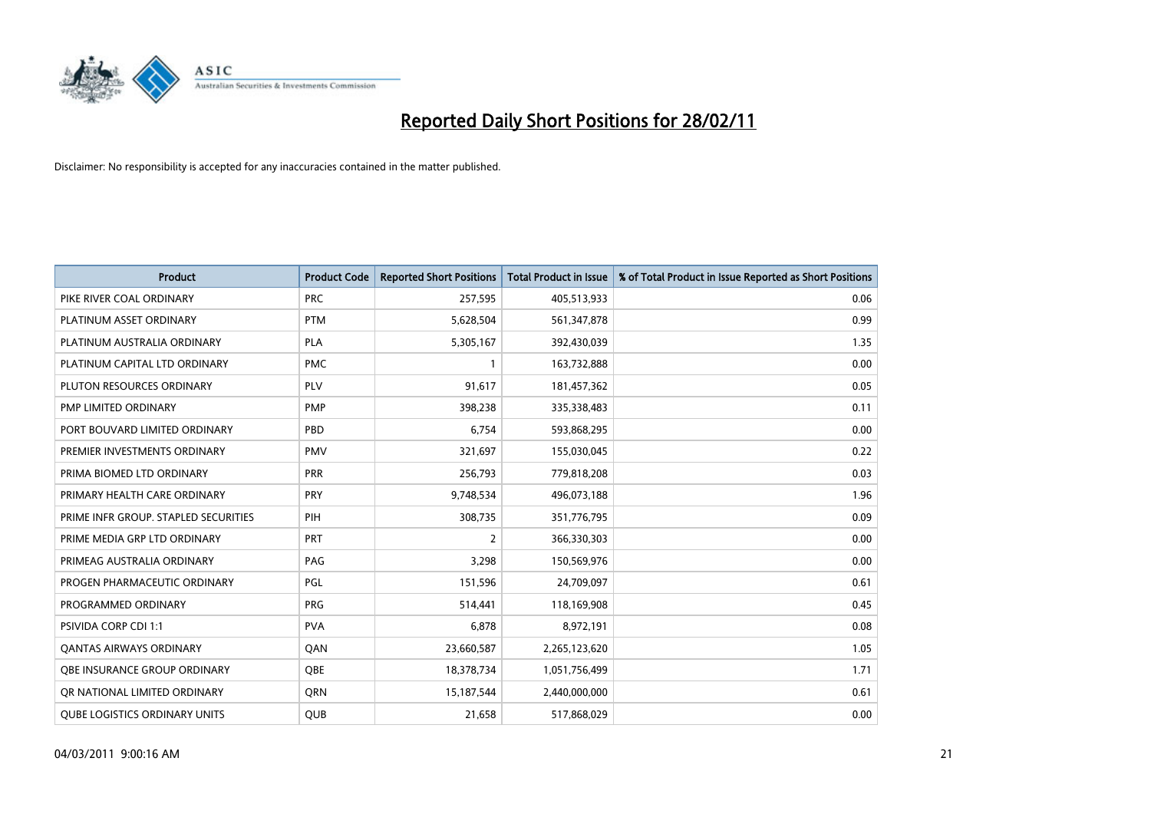

| Product                              | <b>Product Code</b> | <b>Reported Short Positions</b> | <b>Total Product in Issue</b> | % of Total Product in Issue Reported as Short Positions |
|--------------------------------------|---------------------|---------------------------------|-------------------------------|---------------------------------------------------------|
| PIKE RIVER COAL ORDINARY             | <b>PRC</b>          | 257,595                         | 405,513,933                   | 0.06                                                    |
| PLATINUM ASSET ORDINARY              | <b>PTM</b>          | 5,628,504                       | 561,347,878                   | 0.99                                                    |
| PLATINUM AUSTRALIA ORDINARY          | <b>PLA</b>          | 5,305,167                       | 392,430,039                   | 1.35                                                    |
| PLATINUM CAPITAL LTD ORDINARY        | <b>PMC</b>          | 1                               | 163,732,888                   | 0.00                                                    |
| PLUTON RESOURCES ORDINARY            | PLV                 | 91,617                          | 181,457,362                   | 0.05                                                    |
| PMP LIMITED ORDINARY                 | PMP                 | 398,238                         | 335,338,483                   | 0.11                                                    |
| PORT BOUVARD LIMITED ORDINARY        | PBD                 | 6.754                           | 593,868,295                   | 0.00                                                    |
| PREMIER INVESTMENTS ORDINARY         | <b>PMV</b>          | 321,697                         | 155,030,045                   | 0.22                                                    |
| PRIMA BIOMED LTD ORDINARY            | <b>PRR</b>          | 256,793                         | 779,818,208                   | 0.03                                                    |
| PRIMARY HEALTH CARE ORDINARY         | <b>PRY</b>          | 9,748,534                       | 496,073,188                   | 1.96                                                    |
| PRIME INFR GROUP. STAPLED SECURITIES | PIH                 | 308,735                         | 351,776,795                   | 0.09                                                    |
| PRIME MEDIA GRP LTD ORDINARY         | PRT                 | 2                               | 366,330,303                   | 0.00                                                    |
| PRIMEAG AUSTRALIA ORDINARY           | PAG                 | 3,298                           | 150,569,976                   | 0.00                                                    |
| PROGEN PHARMACEUTIC ORDINARY         | PGL                 | 151,596                         | 24,709,097                    | 0.61                                                    |
| PROGRAMMED ORDINARY                  | <b>PRG</b>          | 514,441                         | 118,169,908                   | 0.45                                                    |
| PSIVIDA CORP CDI 1:1                 | <b>PVA</b>          | 6,878                           | 8,972,191                     | 0.08                                                    |
| <b>QANTAS AIRWAYS ORDINARY</b>       | QAN                 | 23,660,587                      | 2,265,123,620                 | 1.05                                                    |
| OBE INSURANCE GROUP ORDINARY         | <b>OBE</b>          | 18,378,734                      | 1,051,756,499                 | 1.71                                                    |
| OR NATIONAL LIMITED ORDINARY         | <b>ORN</b>          | 15,187,544                      | 2,440,000,000                 | 0.61                                                    |
| <b>QUBE LOGISTICS ORDINARY UNITS</b> | <b>QUB</b>          | 21,658                          | 517,868,029                   | 0.00                                                    |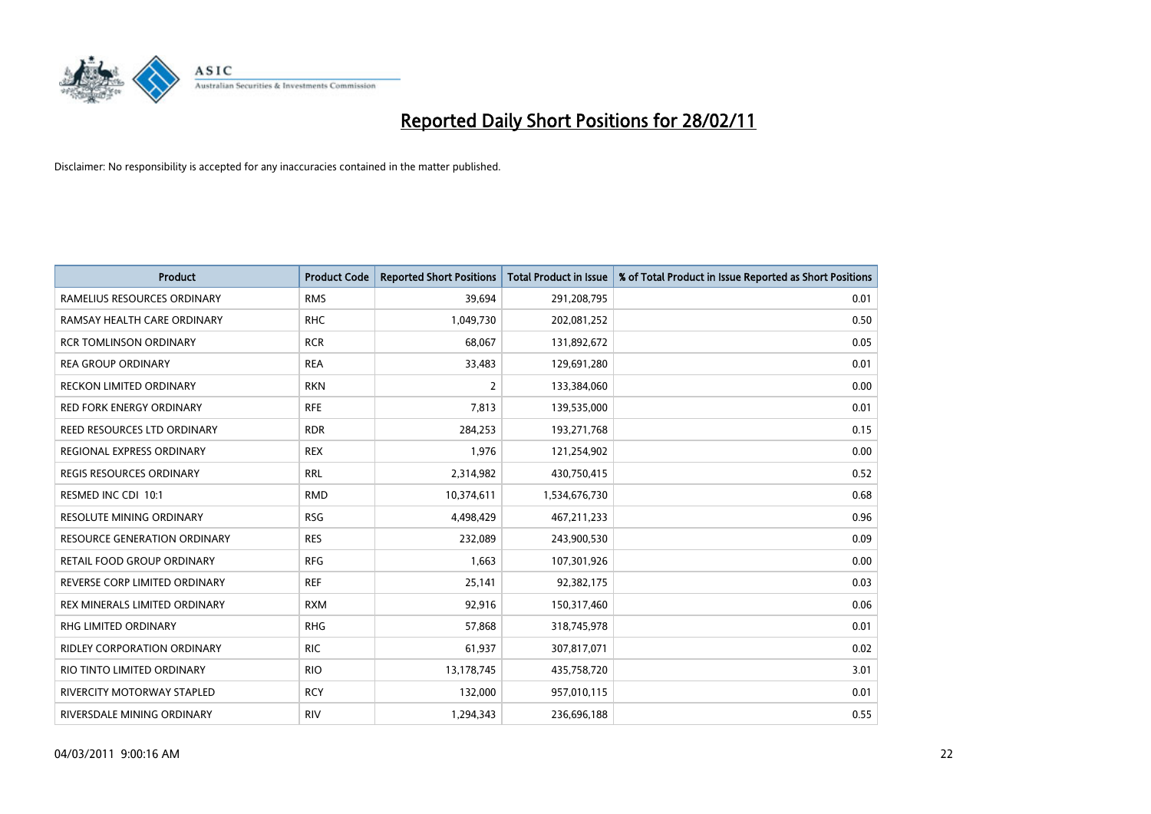

| <b>Product</b>                      | <b>Product Code</b> | <b>Reported Short Positions</b> | <b>Total Product in Issue</b> | % of Total Product in Issue Reported as Short Positions |
|-------------------------------------|---------------------|---------------------------------|-------------------------------|---------------------------------------------------------|
| RAMELIUS RESOURCES ORDINARY         | <b>RMS</b>          | 39,694                          | 291,208,795                   | 0.01                                                    |
| RAMSAY HEALTH CARE ORDINARY         | <b>RHC</b>          | 1,049,730                       | 202,081,252                   | 0.50                                                    |
| <b>RCR TOMLINSON ORDINARY</b>       | <b>RCR</b>          | 68,067                          | 131,892,672                   | 0.05                                                    |
| <b>REA GROUP ORDINARY</b>           | <b>REA</b>          | 33,483                          | 129,691,280                   | 0.01                                                    |
| <b>RECKON LIMITED ORDINARY</b>      | <b>RKN</b>          | $\overline{2}$                  | 133,384,060                   | 0.00                                                    |
| <b>RED FORK ENERGY ORDINARY</b>     | <b>RFE</b>          | 7,813                           | 139,535,000                   | 0.01                                                    |
| REED RESOURCES LTD ORDINARY         | <b>RDR</b>          | 284,253                         | 193,271,768                   | 0.15                                                    |
| REGIONAL EXPRESS ORDINARY           | <b>REX</b>          | 1,976                           | 121,254,902                   | 0.00                                                    |
| <b>REGIS RESOURCES ORDINARY</b>     | <b>RRL</b>          | 2,314,982                       | 430,750,415                   | 0.52                                                    |
| RESMED INC CDI 10:1                 | <b>RMD</b>          | 10,374,611                      | 1,534,676,730                 | 0.68                                                    |
| RESOLUTE MINING ORDINARY            | <b>RSG</b>          | 4,498,429                       | 467,211,233                   | 0.96                                                    |
| <b>RESOURCE GENERATION ORDINARY</b> | <b>RES</b>          | 232,089                         | 243,900,530                   | 0.09                                                    |
| RETAIL FOOD GROUP ORDINARY          | <b>RFG</b>          | 1,663                           | 107,301,926                   | 0.00                                                    |
| REVERSE CORP LIMITED ORDINARY       | <b>REF</b>          | 25,141                          | 92,382,175                    | 0.03                                                    |
| REX MINERALS LIMITED ORDINARY       | <b>RXM</b>          | 92,916                          | 150,317,460                   | 0.06                                                    |
| RHG LIMITED ORDINARY                | <b>RHG</b>          | 57,868                          | 318,745,978                   | 0.01                                                    |
| RIDLEY CORPORATION ORDINARY         | <b>RIC</b>          | 61,937                          | 307,817,071                   | 0.02                                                    |
| RIO TINTO LIMITED ORDINARY          | <b>RIO</b>          | 13,178,745                      | 435,758,720                   | 3.01                                                    |
| RIVERCITY MOTORWAY STAPLED          | <b>RCY</b>          | 132,000                         | 957,010,115                   | 0.01                                                    |
| RIVERSDALE MINING ORDINARY          | <b>RIV</b>          | 1,294,343                       | 236,696,188                   | 0.55                                                    |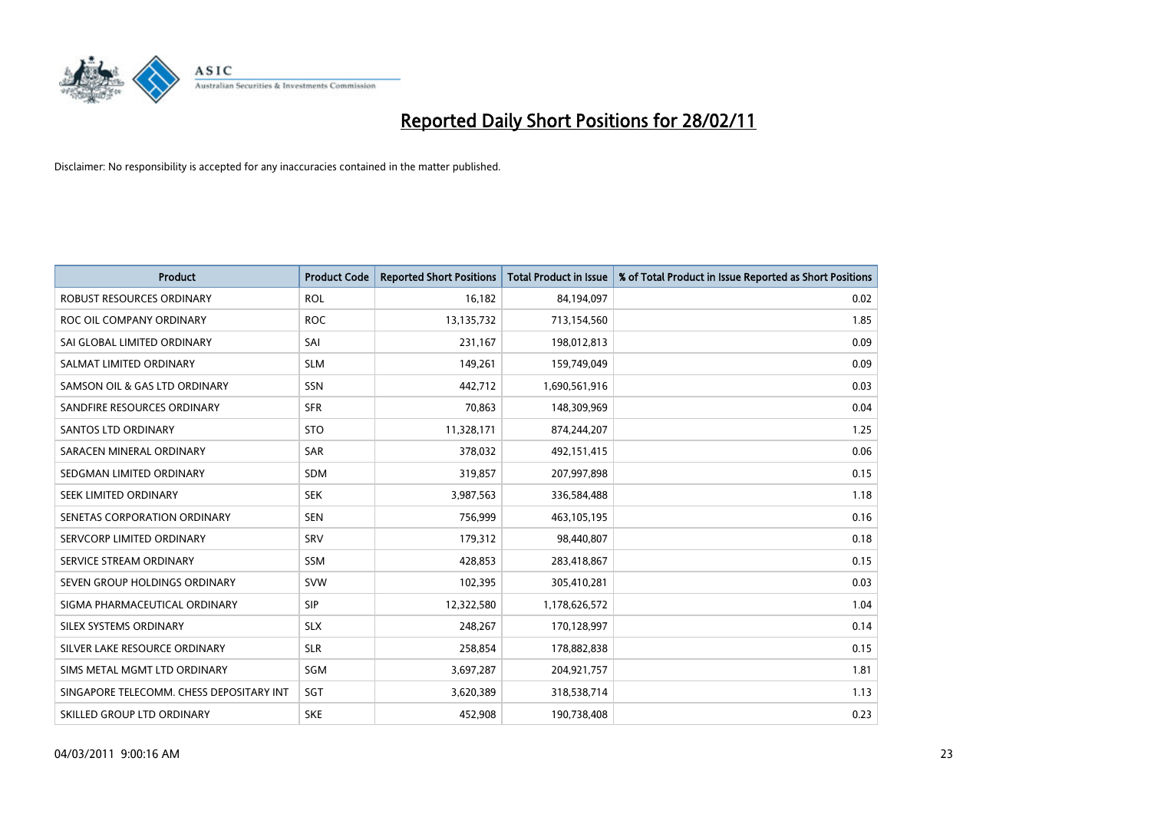

| <b>Product</b>                           | <b>Product Code</b> | <b>Reported Short Positions</b> | <b>Total Product in Issue</b> | % of Total Product in Issue Reported as Short Positions |
|------------------------------------------|---------------------|---------------------------------|-------------------------------|---------------------------------------------------------|
| <b>ROBUST RESOURCES ORDINARY</b>         | <b>ROL</b>          | 16,182                          | 84,194,097                    | 0.02                                                    |
| ROC OIL COMPANY ORDINARY                 | <b>ROC</b>          | 13,135,732                      | 713,154,560                   | 1.85                                                    |
| SAI GLOBAL LIMITED ORDINARY              | SAI                 | 231,167                         | 198,012,813                   | 0.09                                                    |
| SALMAT LIMITED ORDINARY                  | <b>SLM</b>          | 149,261                         | 159,749,049                   | 0.09                                                    |
| SAMSON OIL & GAS LTD ORDINARY            | <b>SSN</b>          | 442,712                         | 1,690,561,916                 | 0.03                                                    |
| SANDFIRE RESOURCES ORDINARY              | <b>SFR</b>          | 70,863                          | 148,309,969                   | 0.04                                                    |
| <b>SANTOS LTD ORDINARY</b>               | <b>STO</b>          | 11,328,171                      | 874,244,207                   | 1.25                                                    |
| SARACEN MINERAL ORDINARY                 | <b>SAR</b>          | 378,032                         | 492,151,415                   | 0.06                                                    |
| SEDGMAN LIMITED ORDINARY                 | <b>SDM</b>          | 319,857                         | 207,997,898                   | 0.15                                                    |
| SEEK LIMITED ORDINARY                    | <b>SEK</b>          | 3,987,563                       | 336,584,488                   | 1.18                                                    |
| SENETAS CORPORATION ORDINARY             | <b>SEN</b>          | 756,999                         | 463,105,195                   | 0.16                                                    |
| SERVCORP LIMITED ORDINARY                | SRV                 | 179,312                         | 98,440,807                    | 0.18                                                    |
| SERVICE STREAM ORDINARY                  | <b>SSM</b>          | 428,853                         | 283,418,867                   | 0.15                                                    |
| SEVEN GROUP HOLDINGS ORDINARY            | <b>SVW</b>          | 102,395                         | 305,410,281                   | 0.03                                                    |
| SIGMA PHARMACEUTICAL ORDINARY            | <b>SIP</b>          | 12,322,580                      | 1,178,626,572                 | 1.04                                                    |
| SILEX SYSTEMS ORDINARY                   | <b>SLX</b>          | 248,267                         | 170,128,997                   | 0.14                                                    |
| SILVER LAKE RESOURCE ORDINARY            | <b>SLR</b>          | 258,854                         | 178,882,838                   | 0.15                                                    |
| SIMS METAL MGMT LTD ORDINARY             | <b>SGM</b>          | 3,697,287                       | 204,921,757                   | 1.81                                                    |
| SINGAPORE TELECOMM. CHESS DEPOSITARY INT | SGT                 | 3,620,389                       | 318,538,714                   | 1.13                                                    |
| SKILLED GROUP LTD ORDINARY               | <b>SKE</b>          | 452,908                         | 190,738,408                   | 0.23                                                    |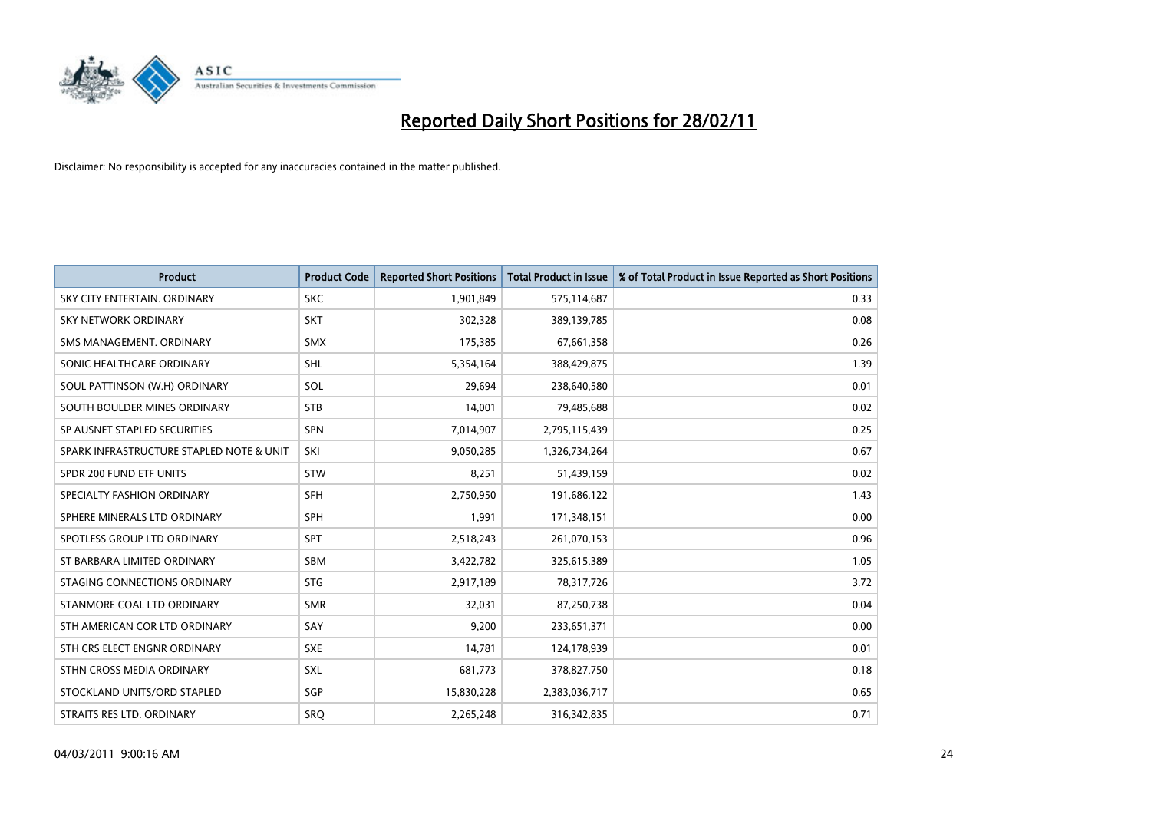

| Product                                  | <b>Product Code</b> | <b>Reported Short Positions</b> | <b>Total Product in Issue</b> | % of Total Product in Issue Reported as Short Positions |
|------------------------------------------|---------------------|---------------------------------|-------------------------------|---------------------------------------------------------|
| SKY CITY ENTERTAIN, ORDINARY             | <b>SKC</b>          | 1,901,849                       | 575,114,687                   | 0.33                                                    |
| <b>SKY NETWORK ORDINARY</b>              | <b>SKT</b>          | 302,328                         | 389,139,785                   | 0.08                                                    |
| SMS MANAGEMENT, ORDINARY                 | <b>SMX</b>          | 175,385                         | 67,661,358                    | 0.26                                                    |
| SONIC HEALTHCARE ORDINARY                | <b>SHL</b>          | 5,354,164                       | 388,429,875                   | 1.39                                                    |
| SOUL PATTINSON (W.H) ORDINARY            | SOL                 | 29.694                          | 238,640,580                   | 0.01                                                    |
| SOUTH BOULDER MINES ORDINARY             | <b>STB</b>          | 14,001                          | 79,485,688                    | 0.02                                                    |
| SP AUSNET STAPLED SECURITIES             | <b>SPN</b>          | 7,014,907                       | 2,795,115,439                 | 0.25                                                    |
| SPARK INFRASTRUCTURE STAPLED NOTE & UNIT | SKI                 | 9,050,285                       | 1,326,734,264                 | 0.67                                                    |
| SPDR 200 FUND ETF UNITS                  | <b>STW</b>          | 8,251                           | 51,439,159                    | 0.02                                                    |
| SPECIALTY FASHION ORDINARY               | <b>SFH</b>          | 2,750,950                       | 191,686,122                   | 1.43                                                    |
| SPHERE MINERALS LTD ORDINARY             | <b>SPH</b>          | 1,991                           | 171,348,151                   | 0.00                                                    |
| SPOTLESS GROUP LTD ORDINARY              | <b>SPT</b>          | 2,518,243                       | 261,070,153                   | 0.96                                                    |
| ST BARBARA LIMITED ORDINARY              | <b>SBM</b>          | 3,422,782                       | 325,615,389                   | 1.05                                                    |
| STAGING CONNECTIONS ORDINARY             | <b>STG</b>          | 2,917,189                       | 78,317,726                    | 3.72                                                    |
| STANMORE COAL LTD ORDINARY               | <b>SMR</b>          | 32,031                          | 87,250,738                    | 0.04                                                    |
| STH AMERICAN COR LTD ORDINARY            | SAY                 | 9,200                           | 233,651,371                   | 0.00                                                    |
| STH CRS ELECT ENGNR ORDINARY             | <b>SXE</b>          | 14,781                          | 124,178,939                   | 0.01                                                    |
| STHN CROSS MEDIA ORDINARY                | <b>SXL</b>          | 681,773                         | 378,827,750                   | 0.18                                                    |
| STOCKLAND UNITS/ORD STAPLED              | SGP                 | 15,830,228                      | 2,383,036,717                 | 0.65                                                    |
| STRAITS RES LTD. ORDINARY                | SRO                 | 2,265,248                       | 316, 342, 835                 | 0.71                                                    |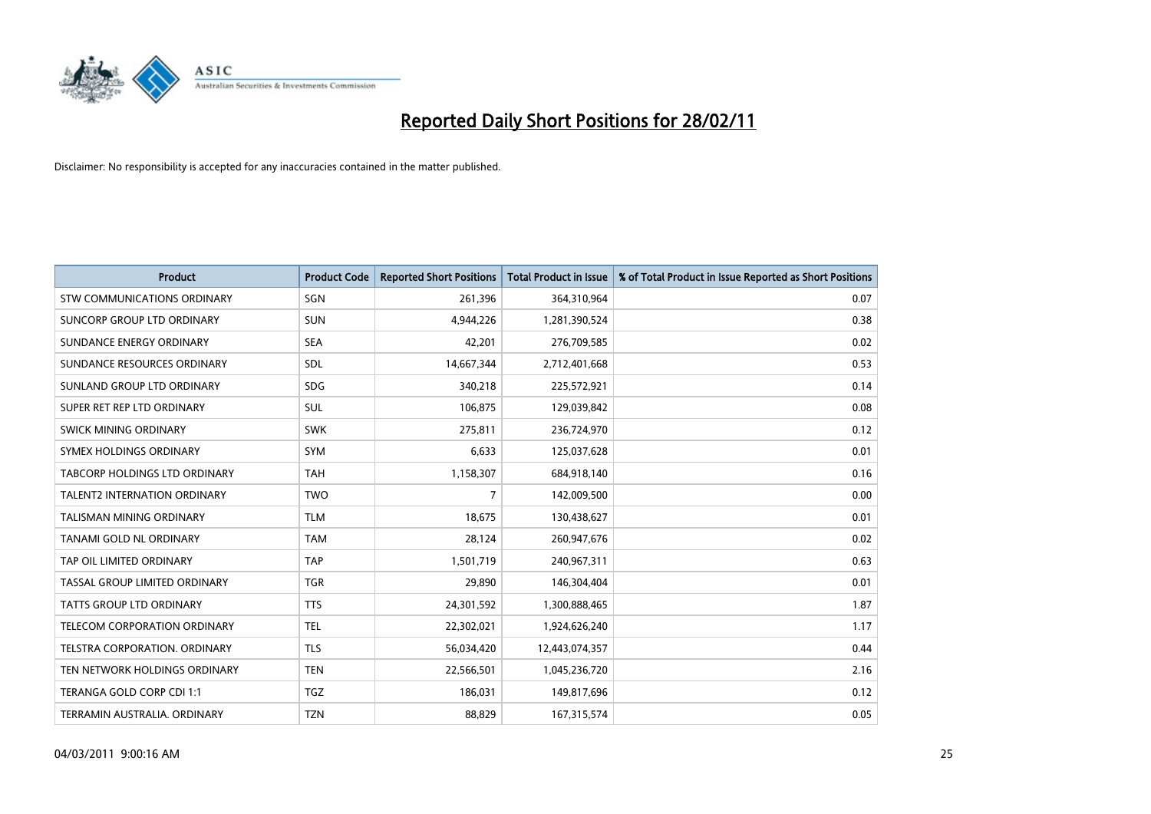

| Product                              | <b>Product Code</b> | <b>Reported Short Positions</b> | <b>Total Product in Issue</b> | % of Total Product in Issue Reported as Short Positions |
|--------------------------------------|---------------------|---------------------------------|-------------------------------|---------------------------------------------------------|
| <b>STW COMMUNICATIONS ORDINARY</b>   | SGN                 | 261,396                         | 364,310,964                   | 0.07                                                    |
| SUNCORP GROUP LTD ORDINARY           | <b>SUN</b>          | 4,944,226                       | 1,281,390,524                 | 0.38                                                    |
| SUNDANCE ENERGY ORDINARY             | <b>SEA</b>          | 42,201                          | 276,709,585                   | 0.02                                                    |
| SUNDANCE RESOURCES ORDINARY          | SDL                 | 14,667,344                      | 2,712,401,668                 | 0.53                                                    |
| SUNLAND GROUP LTD ORDINARY           | <b>SDG</b>          | 340,218                         | 225,572,921                   | 0.14                                                    |
| SUPER RET REP LTD ORDINARY           | SUL                 | 106,875                         | 129,039,842                   | 0.08                                                    |
| SWICK MINING ORDINARY                | <b>SWK</b>          | 275,811                         | 236,724,970                   | 0.12                                                    |
| SYMEX HOLDINGS ORDINARY              | <b>SYM</b>          | 6,633                           | 125,037,628                   | 0.01                                                    |
| TABCORP HOLDINGS LTD ORDINARY        | <b>TAH</b>          | 1,158,307                       | 684,918,140                   | 0.16                                                    |
| <b>TALENT2 INTERNATION ORDINARY</b>  | <b>TWO</b>          | $\overline{7}$                  | 142,009,500                   | 0.00                                                    |
| <b>TALISMAN MINING ORDINARY</b>      | <b>TLM</b>          | 18,675                          | 130,438,627                   | 0.01                                                    |
| <b>TANAMI GOLD NL ORDINARY</b>       | <b>TAM</b>          | 28,124                          | 260,947,676                   | 0.02                                                    |
| TAP OIL LIMITED ORDINARY             | <b>TAP</b>          | 1,501,719                       | 240,967,311                   | 0.63                                                    |
| <b>TASSAL GROUP LIMITED ORDINARY</b> | <b>TGR</b>          | 29,890                          | 146,304,404                   | 0.01                                                    |
| TATTS GROUP LTD ORDINARY             | <b>TTS</b>          | 24,301,592                      | 1,300,888,465                 | 1.87                                                    |
| TELECOM CORPORATION ORDINARY         | <b>TEL</b>          | 22,302,021                      | 1,924,626,240                 | 1.17                                                    |
| <b>TELSTRA CORPORATION, ORDINARY</b> | <b>TLS</b>          | 56,034,420                      | 12,443,074,357                | 0.44                                                    |
| TEN NETWORK HOLDINGS ORDINARY        | <b>TEN</b>          | 22,566,501                      | 1,045,236,720                 | 2.16                                                    |
| TERANGA GOLD CORP CDI 1:1            | <b>TGZ</b>          | 186,031                         | 149,817,696                   | 0.12                                                    |
| TERRAMIN AUSTRALIA. ORDINARY         | <b>TZN</b>          | 88,829                          | 167,315,574                   | 0.05                                                    |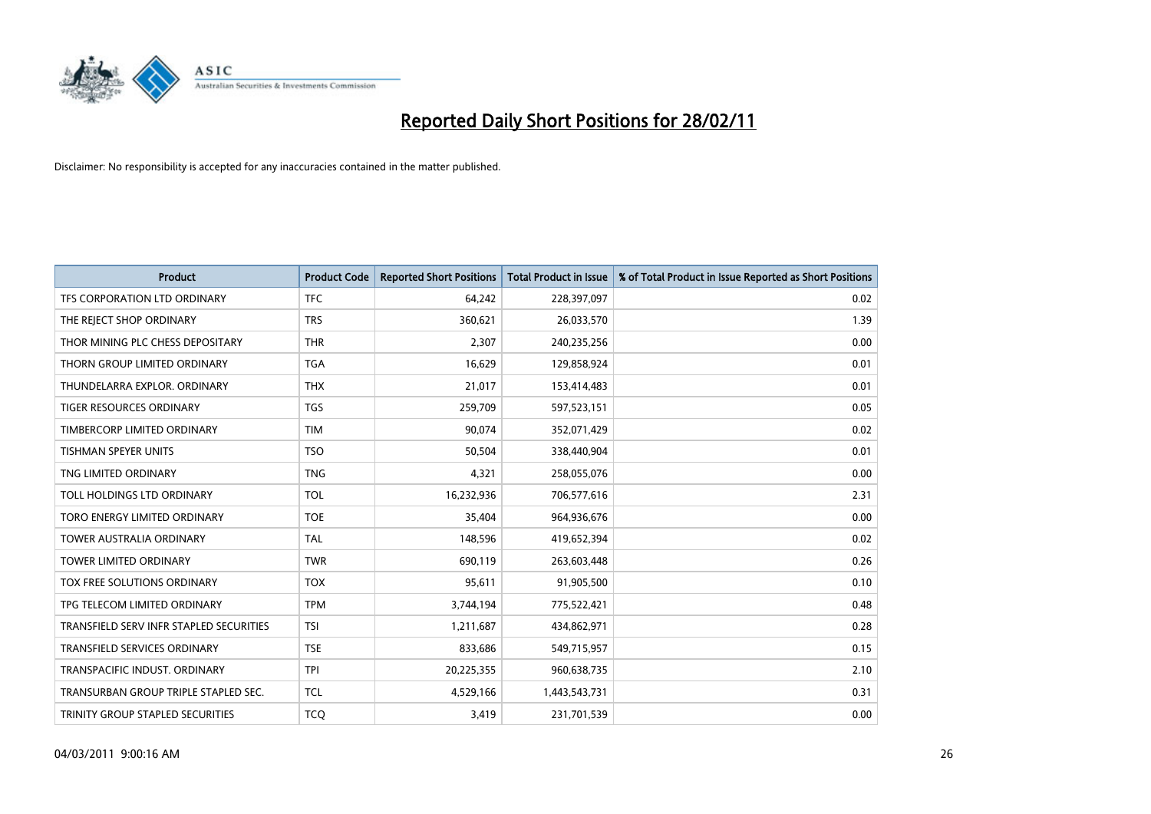

| <b>Product</b>                          | <b>Product Code</b> | <b>Reported Short Positions</b> | Total Product in Issue | % of Total Product in Issue Reported as Short Positions |
|-----------------------------------------|---------------------|---------------------------------|------------------------|---------------------------------------------------------|
| TFS CORPORATION LTD ORDINARY            | <b>TFC</b>          | 64,242                          | 228,397,097            | 0.02                                                    |
| THE REJECT SHOP ORDINARY                | <b>TRS</b>          | 360,621                         | 26,033,570             | 1.39                                                    |
| THOR MINING PLC CHESS DEPOSITARY        | <b>THR</b>          | 2,307                           | 240,235,256            | 0.00                                                    |
| THORN GROUP LIMITED ORDINARY            | <b>TGA</b>          | 16,629                          | 129,858,924            | 0.01                                                    |
| THUNDELARRA EXPLOR. ORDINARY            | <b>THX</b>          | 21,017                          | 153,414,483            | 0.01                                                    |
| TIGER RESOURCES ORDINARY                | <b>TGS</b>          | 259,709                         | 597,523,151            | 0.05                                                    |
| TIMBERCORP LIMITED ORDINARY             | <b>TIM</b>          | 90.074                          | 352,071,429            | 0.02                                                    |
| <b>TISHMAN SPEYER UNITS</b>             | <b>TSO</b>          | 50,504                          | 338,440,904            | 0.01                                                    |
| TNG LIMITED ORDINARY                    | <b>TNG</b>          | 4,321                           | 258,055,076            | 0.00                                                    |
| TOLL HOLDINGS LTD ORDINARY              | <b>TOL</b>          | 16,232,936                      | 706,577,616            | 2.31                                                    |
| TORO ENERGY LIMITED ORDINARY            | <b>TOE</b>          | 35,404                          | 964,936,676            | 0.00                                                    |
| <b>TOWER AUSTRALIA ORDINARY</b>         | <b>TAL</b>          | 148,596                         | 419,652,394            | 0.02                                                    |
| <b>TOWER LIMITED ORDINARY</b>           | <b>TWR</b>          | 690,119                         | 263,603,448            | 0.26                                                    |
| TOX FREE SOLUTIONS ORDINARY             | <b>TOX</b>          | 95,611                          | 91,905,500             | 0.10                                                    |
| TPG TELECOM LIMITED ORDINARY            | <b>TPM</b>          | 3,744,194                       | 775,522,421            | 0.48                                                    |
| TRANSFIELD SERV INFR STAPLED SECURITIES | <b>TSI</b>          | 1,211,687                       | 434,862,971            | 0.28                                                    |
| <b>TRANSFIELD SERVICES ORDINARY</b>     | <b>TSE</b>          | 833,686                         | 549,715,957            | 0.15                                                    |
| TRANSPACIFIC INDUST. ORDINARY           | <b>TPI</b>          | 20,225,355                      | 960,638,735            | 2.10                                                    |
| TRANSURBAN GROUP TRIPLE STAPLED SEC.    | <b>TCL</b>          | 4,529,166                       | 1,443,543,731          | 0.31                                                    |
| TRINITY GROUP STAPLED SECURITIES        | <b>TCO</b>          | 3,419                           | 231,701,539            | 0.00                                                    |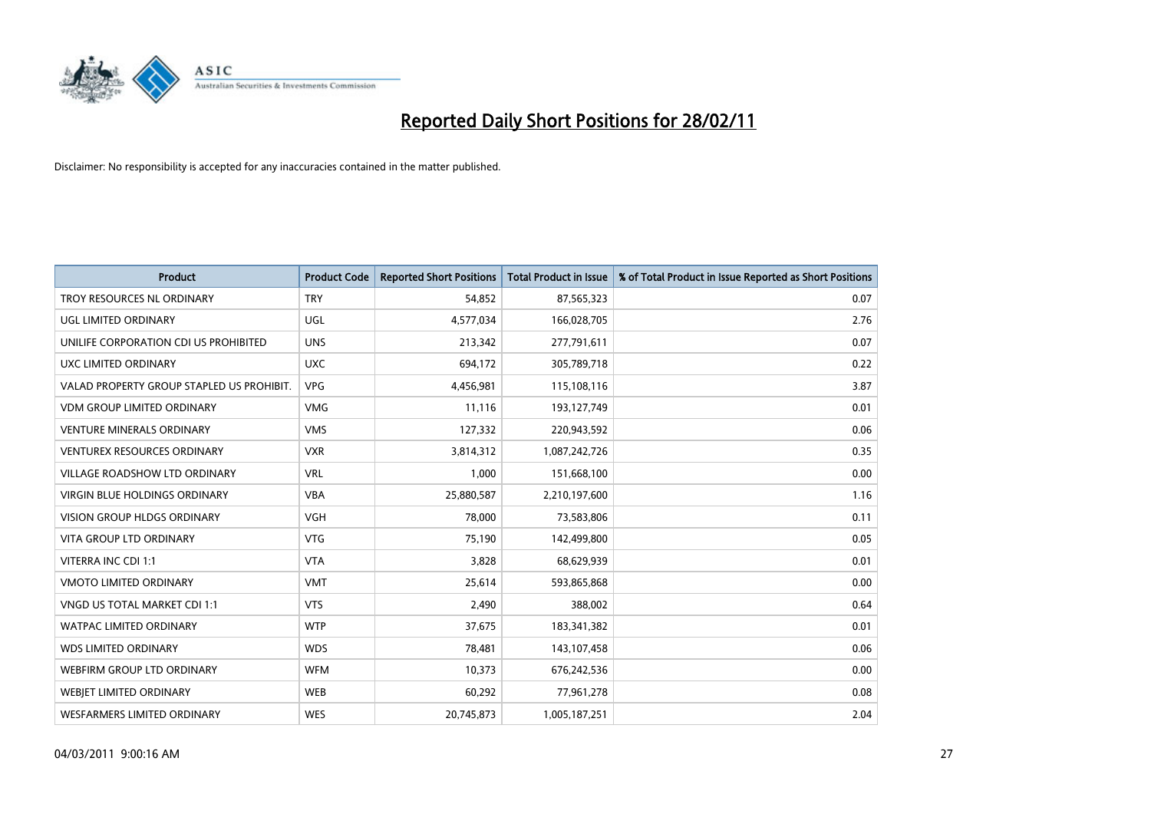

| <b>Product</b>                            | <b>Product Code</b> | <b>Reported Short Positions</b> | Total Product in Issue | % of Total Product in Issue Reported as Short Positions |
|-------------------------------------------|---------------------|---------------------------------|------------------------|---------------------------------------------------------|
| TROY RESOURCES NL ORDINARY                | <b>TRY</b>          | 54,852                          | 87,565,323             | 0.07                                                    |
| UGL LIMITED ORDINARY                      | <b>UGL</b>          | 4,577,034                       | 166,028,705            | 2.76                                                    |
| UNILIFE CORPORATION CDI US PROHIBITED     | <b>UNS</b>          | 213,342                         | 277,791,611            | 0.07                                                    |
| UXC LIMITED ORDINARY                      | <b>UXC</b>          | 694,172                         | 305,789,718            | 0.22                                                    |
| VALAD PROPERTY GROUP STAPLED US PROHIBIT. | <b>VPG</b>          | 4,456,981                       | 115,108,116            | 3.87                                                    |
| <b>VDM GROUP LIMITED ORDINARY</b>         | <b>VMG</b>          | 11,116                          | 193,127,749            | 0.01                                                    |
| <b>VENTURE MINERALS ORDINARY</b>          | <b>VMS</b>          | 127,332                         | 220,943,592            | 0.06                                                    |
| <b>VENTUREX RESOURCES ORDINARY</b>        | <b>VXR</b>          | 3,814,312                       | 1,087,242,726          | 0.35                                                    |
| VILLAGE ROADSHOW LTD ORDINARY             | <b>VRL</b>          | 1,000                           | 151,668,100            | 0.00                                                    |
| <b>VIRGIN BLUE HOLDINGS ORDINARY</b>      | <b>VBA</b>          | 25,880,587                      | 2,210,197,600          | 1.16                                                    |
| <b>VISION GROUP HLDGS ORDINARY</b>        | <b>VGH</b>          | 78.000                          | 73,583,806             | 0.11                                                    |
| <b>VITA GROUP LTD ORDINARY</b>            | <b>VTG</b>          | 75,190                          | 142,499,800            | 0.05                                                    |
| <b>VITERRA INC CDI 1:1</b>                | <b>VTA</b>          | 3,828                           | 68,629,939             | 0.01                                                    |
| <b>VMOTO LIMITED ORDINARY</b>             | <b>VMT</b>          | 25,614                          | 593,865,868            | 0.00                                                    |
| VNGD US TOTAL MARKET CDI 1:1              | <b>VTS</b>          | 2,490                           | 388,002                | 0.64                                                    |
| <b>WATPAC LIMITED ORDINARY</b>            | <b>WTP</b>          | 37,675                          | 183,341,382            | 0.01                                                    |
| <b>WDS LIMITED ORDINARY</b>               | <b>WDS</b>          | 78,481                          | 143,107,458            | 0.06                                                    |
| WEBFIRM GROUP LTD ORDINARY                | <b>WFM</b>          | 10,373                          | 676,242,536            | 0.00                                                    |
| <b>WEBIET LIMITED ORDINARY</b>            | <b>WEB</b>          | 60,292                          | 77,961,278             | 0.08                                                    |
| <b>WESFARMERS LIMITED ORDINARY</b>        | <b>WES</b>          | 20,745,873                      | 1,005,187,251          | 2.04                                                    |